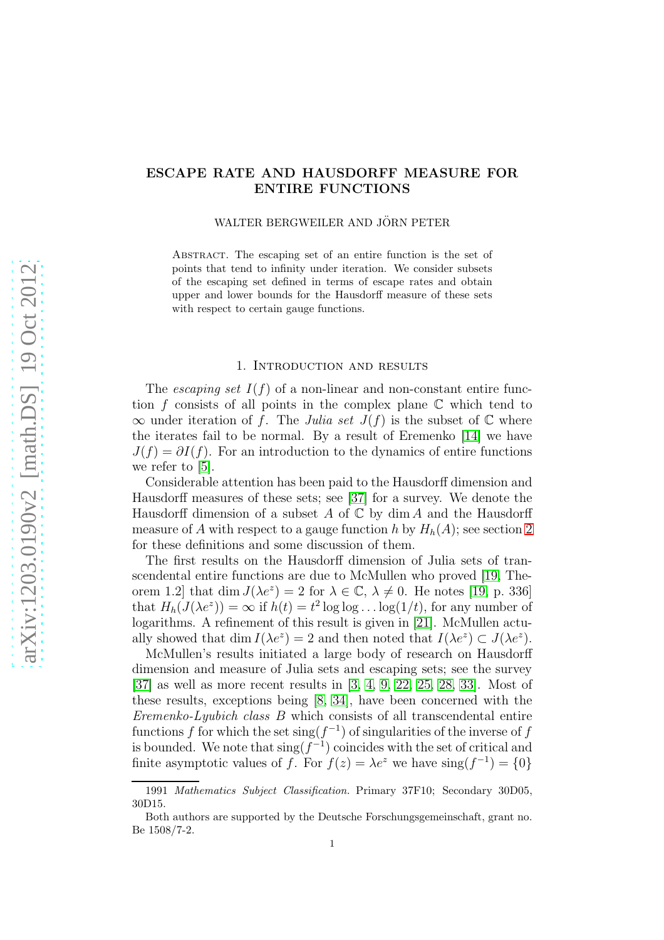# ESCAPE RATE AND HAUSDORFF MEASURE FOR ENTIRE FUNCTIONS

### WALTER BERGWEILER AND JÖRN PETER

ABSTRACT. The escaping set of an entire function is the set of points that tend to infinity under iteration. We consider subsets of the escaping set defined in terms of escape rates and obtain upper and lower bounds for the Hausdorff measure of these sets with respect to certain gauge functions.

#### 1. Introduction and results

The *escaping set*  $I(f)$  of a non-linear and non-constant entire function f consists of all points in the complex plane  $\mathbb C$  which tend to  $\infty$  under iteration of f. The Julia set  $J(f)$  is the subset of  $\mathbb C$  where the iterates fail to be normal. By a result of Eremenko [\[14\]](#page-22-0) we have  $J(f) = \partial I(f)$ . For an introduction to the dynamics of entire functions we refer to [\[5\]](#page-22-1).

Considerable attention has been paid to the Hausdorff dimension and Hausdorff measures of these sets; see [\[37\]](#page-23-0) for a survey. We denote the Hausdorff dimension of a subset A of  $\mathbb C$  by dim A and the Hausdorff measure of A with respect to a gauge function h by  $H_h(A)$ ; see section [2](#page-3-0) for these definitions and some discussion of them.

The first results on the Hausdorff dimension of Julia sets of transcendental entire functions are due to McMullen who proved [\[19,](#page-23-1) Theorem 1.2 that dim  $J(\lambda e^z) = 2$  for  $\lambda \in \mathbb{C}, \lambda \neq 0$ . He notes [\[19,](#page-23-1) p. 336] that  $H_h(J(\lambda e^z)) = \infty$  if  $h(t) = t^2 \log \log \ldots \log(1/t)$ , for any number of logarithms. A refinement of this result is given in [\[21\]](#page-23-2). McMullen actually showed that  $\dim I(\lambda e^z) = 2$  and then noted that  $I(\lambda e^z) \subset J(\lambda e^z)$ .

McMullen's results initiated a large body of research on Hausdorff dimension and measure of Julia sets and escaping sets; see the survey [\[37\]](#page-23-0) as well as more recent results in [\[3,](#page-22-2) [4,](#page-22-3) [9,](#page-22-4) [22,](#page-23-3) [25,](#page-23-4) [28,](#page-23-5) [33\]](#page-23-6). Most of these results, exceptions being [\[8,](#page-22-5) [34\]](#page-23-7), have been concerned with the Eremenko-Lyubich class B which consists of all transcendental entire functions f for which the set  $\operatorname{sing}(f^{-1})$  of singularities of the inverse of f is bounded. We note that  $\operatorname{sing}(f^{-1})$  coincides with the set of critical and finite asymptotic values of f. For  $f(z) = \lambda e^z$  we have  $\text{sing}(f^{-1}) = \{0\}$ 

<sup>1991</sup> Mathematics Subject Classification. Primary 37F10; Secondary 30D05, 30D15.

Both authors are supported by the Deutsche Forschungsgemeinschaft, grant no. Be 1508/7-2.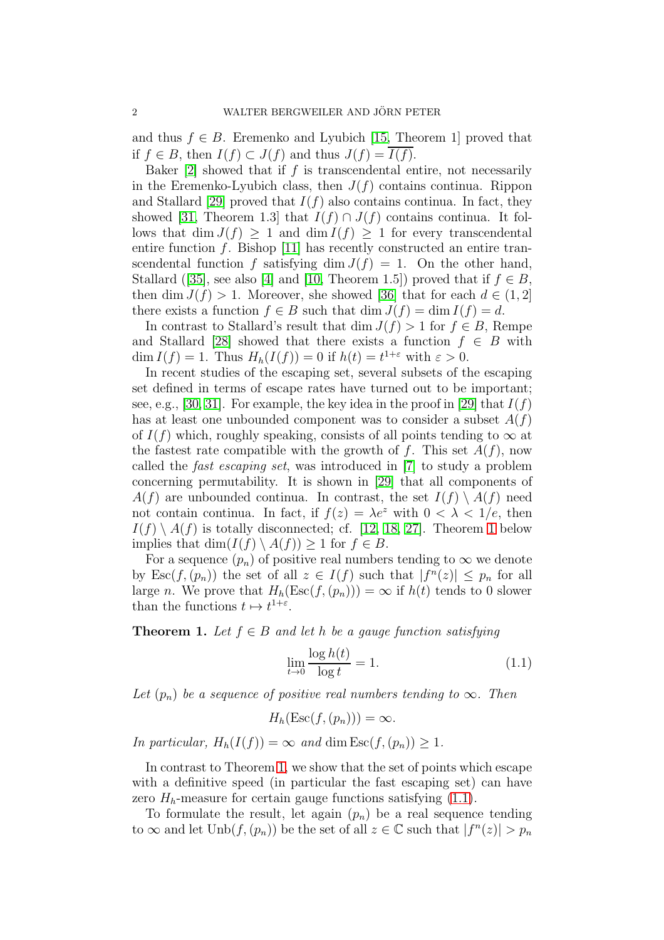and thus  $f \in B$ . Eremenko and Lyubich [\[15,](#page-22-6) Theorem 1] proved that if *f* ∈ *B*, then *I*(*f*) ⊂ *J*(*f*) and thus *J*(*f*) = *I*(*f*).

Baker  $[2]$  showed that if f is transcendental entire, not necessarily in the Eremenko-Lyubich class, then  $J(f)$  contains continua. Rippon and Stallard [\[29\]](#page-23-8) proved that  $I(f)$  also contains continua. In fact, they showed [\[31,](#page-23-9) Theorem 1.3] that  $I(f) \cap J(f)$  contains continua. It follows that dim  $J(f) \geq 1$  and dim  $I(f) \geq 1$  for every transcendental entire function  $f$ . Bishop [\[11\]](#page-22-8) has recently constructed an entire transcendental function f satisfying dim  $J(f) = 1$ . On the other hand, Stallard ([\[35\]](#page-23-10), see also [\[4\]](#page-22-3) and [\[10,](#page-22-9) Theorem 1.5]) proved that if  $f \in B$ , then dim  $J(f) > 1$ . Moreover, she showed [\[36\]](#page-23-11) that for each  $d \in (1, 2]$ there exists a function  $f \in B$  such that  $\dim J(f) = \dim I(f) = d$ .

In contrast to Stallard's result that dim  $J(f) > 1$  for  $f \in B$ , Rempe and Stallard [\[28\]](#page-23-5) showed that there exists a function  $f \in B$  with  $\dim I(f) = 1$ . Thus  $H_h(I(f)) = 0$  if  $h(t) = t^{1+\varepsilon}$  with  $\varepsilon > 0$ .

In recent studies of the escaping set, several subsets of the escaping set defined in terms of escape rates have turned out to be important; see, e.g., [\[30,](#page-23-12) [31\]](#page-23-9). For example, the key idea in the proof in [\[29\]](#page-23-8) that  $I(f)$ has at least one unbounded component was to consider a subset  $A(f)$ of  $I(f)$  which, roughly speaking, consists of all points tending to  $\infty$  at the fastest rate compatible with the growth of f. This set  $A(f)$ , now called the fast escaping set, was introduced in [\[7\]](#page-22-10) to study a problem concerning permutability. It is shown in [\[29\]](#page-23-8) that all components of  $A(f)$  are unbounded continua. In contrast, the set  $I(f) \setminus A(f)$  need not contain continua. In fact, if  $f(z) = \lambda e^z$  with  $0 < \lambda < 1/e$ , then  $I(f) \setminus A(f)$  is totally disconnected; cf. [\[12,](#page-22-11) [18,](#page-23-13) [27\]](#page-23-14). Theorem [1](#page-1-0) below implies that  $\dim(I(f) \setminus A(f)) \geq 1$  for  $f \in B$ .

For a sequence  $(p_n)$  of positive real numbers tending to  $\infty$  we denote by  $\text{Esc}(f,(p_n))$  the set of all  $z \in I(f)$  such that  $|f^n(z)| \leq p_n$  for all large n. We prove that  $H_h(\text{Esc}(f,(p_n))) = \infty$  if  $h(t)$  tends to 0 slower than the functions  $t \mapsto t^{1+\varepsilon}$ .

<span id="page-1-0"></span>**Theorem 1.** Let  $f \in B$  and let h be a gauge function satisfying

<span id="page-1-1"></span>
$$
\lim_{t \to 0} \frac{\log h(t)}{\log t} = 1. \tag{1.1}
$$

Let  $(p_n)$  be a sequence of positive real numbers tending to  $\infty$ . Then

$$
H_h(\mathrm{Esc}(f,(p_n)))=\infty.
$$

In particular,  $H_h(I(f)) = \infty$  and dim  $\text{Esc}(f,(p_n)) \geq 1$ .

In contrast to Theorem [1,](#page-1-0) we show that the set of points which escape with a definitive speed (in particular the fast escaping set) can have zero  $H_h$ -measure for certain gauge functions satisfying  $(1.1)$ .

To formulate the result, let again  $(p_n)$  be a real sequence tending to  $\infty$  and let  $\text{Unb}(f, (p_n))$  be the set of all  $z \in \mathbb{C}$  such that  $|f^n(z)| > p_n$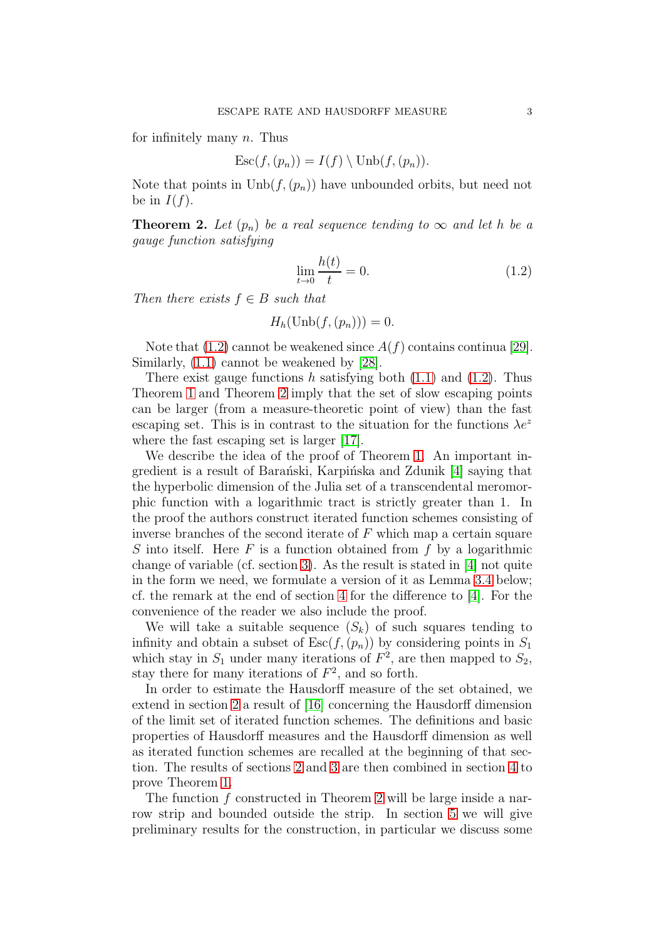for infinitely many  $n$ . Thus

$$
Esc(f,(p_n)) = I(f) \setminus \text{Unb}(f,(p_n)).
$$

Note that points in  $\text{Unb}(f,(p_n))$  have unbounded orbits, but need not be in  $I(f)$ .

<span id="page-2-1"></span>**Theorem 2.** Let  $(p_n)$  be a real sequence tending to  $\infty$  and let h be a gauge function satisfying

<span id="page-2-0"></span>
$$
\lim_{t \to 0} \frac{h(t)}{t} = 0.
$$
\n(1.2)

Then there exists  $f \in B$  such that

$$
H_h(\mathrm{Unb}(f,(p_n)))=0.
$$

Note that  $(1.2)$  cannot be weakened since  $A(f)$  contains continua [\[29\]](#page-23-8). Similarly, [\(1.1\)](#page-1-1) cannot be weakened by [\[28\]](#page-23-5).

There exist gauge functions h satisfying both  $(1.1)$  and  $(1.2)$ . Thus Theorem [1](#page-1-0) and Theorem [2](#page-2-1) imply that the set of slow escaping points can be larger (from a measure-theoretic point of view) than the fast escaping set. This is in contrast to the situation for the functions  $\lambda e^z$ where the fast escaping set is larger [\[17\]](#page-22-12).

We describe the idea of the proof of Theorem [1.](#page-1-0) An important in-gredient is a result of Barański, Karpińska and Zdunik [\[4\]](#page-22-3) saying that the hyperbolic dimension of the Julia set of a transcendental meromorphic function with a logarithmic tract is strictly greater than 1. In the proof the authors construct iterated function schemes consisting of inverse branches of the second iterate of  $F$  which map a certain square S into itself. Here  $F$  is a function obtained from  $f$  by a logarithmic change of variable (cf. section [3\)](#page-9-0). As the result is stated in [\[4\]](#page-22-3) not quite in the form we need, we formulate a version of it as Lemma [3.4](#page-13-0) below; cf. the remark at the end of section [4](#page-13-1) for the difference to [\[4\]](#page-22-3). For the convenience of the reader we also include the proof.

We will take a suitable sequence  $(S_k)$  of such squares tending to infinity and obtain a subset of  $\text{Esc}(f,(p_n))$  by considering points in  $S_1$ which stay in  $S_1$  under many iterations of  $F^2$ , are then mapped to  $S_2$ , stay there for many iterations of  $F^2$ , and so forth.

In order to estimate the Hausdorff measure of the set obtained, we extend in section [2](#page-3-0) a result of [\[16\]](#page-22-13) concerning the Hausdorff dimension of the limit set of iterated function schemes. The definitions and basic properties of Hausdorff measures and the Hausdorff dimension as well as iterated function schemes are recalled at the beginning of that section. The results of sections [2](#page-3-0) and [3](#page-9-0) are then combined in section [4](#page-13-1) to prove Theorem [1.](#page-1-0)

The function f constructed in Theorem [2](#page-2-1) will be large inside a narrow strip and bounded outside the strip. In section [5](#page-15-0) we will give preliminary results for the construction, in particular we discuss some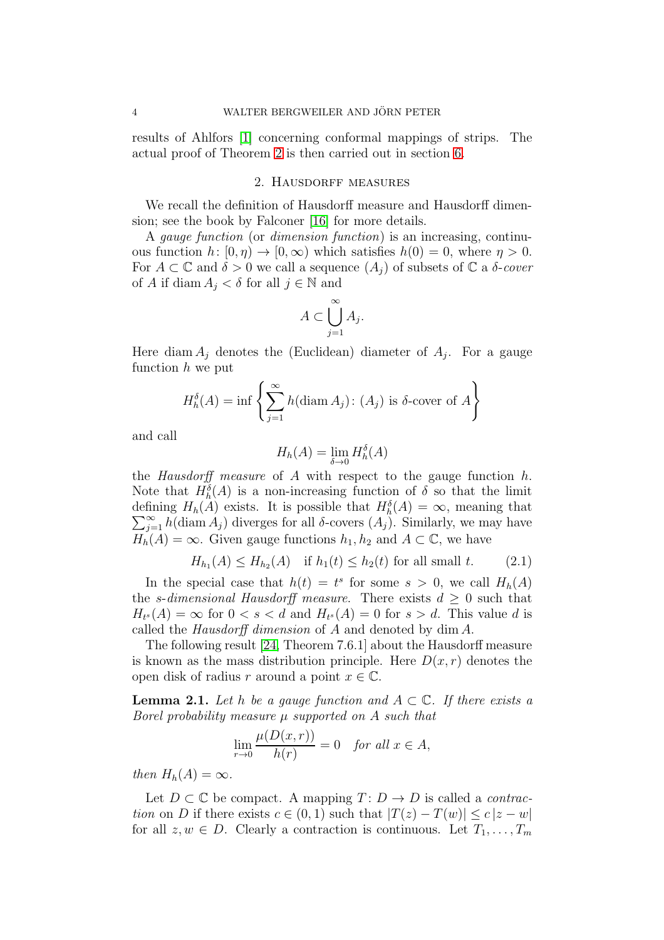<span id="page-3-0"></span>results of Ahlfors [\[1\]](#page-22-14) concerning conformal mappings of strips. The actual proof of Theorem [2](#page-2-1) is then carried out in section [6.](#page-18-0)

### 2. HAUSDORFF MEASURES

We recall the definition of Hausdorff measure and Hausdorff dimension; see the book by Falconer [\[16\]](#page-22-13) for more details.

A gauge function (or dimension function) is an increasing, continuous function  $h: [0, \eta) \to [0, \infty)$  which satisfies  $h(0) = 0$ , where  $\eta > 0$ . For  $A \subset \mathbb{C}$  and  $\delta > 0$  we call a sequence  $(A_i)$  of subsets of  $\mathbb{C}$  a  $\delta$ -cover of A if diam  $A_i < \delta$  for all  $j \in \mathbb{N}$  and

$$
A \subset \bigcup_{j=1}^{\infty} A_j.
$$

Here diam  $A_j$  denotes the (Euclidean) diameter of  $A_j$ . For a gauge function  $h$  we put

$$
H_h^{\delta}(A) = \inf \left\{ \sum_{j=1}^{\infty} h(\text{diam } A_j) : (A_j) \text{ is } \delta \text{-cover of } A \right\}
$$

and call

$$
H_h(A) = \lim_{\delta \to 0} H_h^{\delta}(A)
$$

the *Hausdorff* measure of A with respect to the gauge function  $h$ . Note that  $H_h^{\delta}(A)$  is a non-increasing function of  $\delta$  so that the limit defining  $H_h(A)$  exists. It is possible that  $H_h^{\delta}(A) = \infty$ , meaning that  $\sum_{j=1}^{\infty} h(\text{diam } A_j)$  diverges for all  $\delta$ -covers  $(A_j)$ . Similarly, we may have  $H_h(A) = \infty$ . Given gauge functions  $h_1, h_2$  and  $A \subset \mathbb{C}$ , we have

<span id="page-3-1"></span>
$$
H_{h_1}(A) \le H_{h_2}(A)
$$
 if  $h_1(t) \le h_2(t)$  for all small t. (2.1)

In the special case that  $h(t) = t^s$  for some  $s > 0$ , we call  $H_h(A)$ the s-dimensional Hausdorff measure. There exists  $d \geq 0$  such that  $H_{t^s}(A) = \infty$  for  $0 < s < d$  and  $H_{t^s}(A) = 0$  for  $s > d$ . This value d is called the Hausdorff dimension of A and denoted by dim A.

The following result [\[24,](#page-23-15) Theorem 7.6.1] about the Hausdorff measure is known as the mass distribution principle. Here  $D(x, r)$  denotes the open disk of radius r around a point  $x \in \mathbb{C}$ .

<span id="page-3-2"></span>**Lemma 2.1.** Let h be a gauge function and  $A \subset \mathbb{C}$ . If there exists a Borel probability measure  $\mu$  supported on A such that

$$
\lim_{r \to 0} \frac{\mu(D(x, r))}{h(r)} = 0 \quad \text{for all } x \in A,
$$

then  $H_h(A) = \infty$ .

Let  $D \subset \mathbb{C}$  be compact. A mapping  $T: D \to D$  is called a *contrac*tion on D if there exists  $c \in (0,1)$  such that  $|T(z) - T(w)| \leq c |z - w|$ for all  $z, w \in D$ . Clearly a contraction is continuous. Let  $T_1, \ldots, T_m$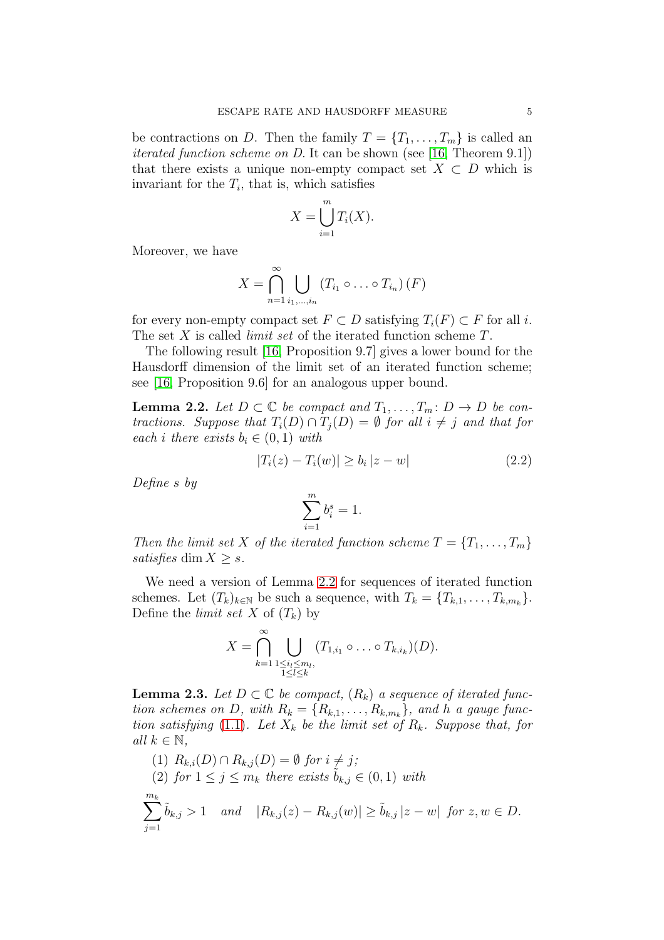be contractions on D. Then the family  $T = \{T_1, \ldots, T_m\}$  is called an iterated function scheme on D. It can be shown (see [\[16,](#page-22-13) Theorem 9.1]) that there exists a unique non-empty compact set  $X \subset D$  which is invariant for the  $T_i$ , that is, which satisfies

$$
X = \bigcup_{i=1}^{m} T_i(X).
$$

Moreover, we have

$$
X = \bigcap_{n=1}^{\infty} \bigcup_{i_1,\dots,i_n} \left( T_{i_1} \circ \dots \circ T_{i_n} \right) (F)
$$

for every non-empty compact set  $F \subset D$  satisfying  $T_i(F) \subset F$  for all i. The set  $X$  is called *limit set* of the iterated function scheme  $T$ .

The following result [\[16,](#page-22-13) Proposition 9.7] gives a lower bound for the Hausdorff dimension of the limit set of an iterated function scheme; see [\[16,](#page-22-13) Proposition 9.6] for an analogous upper bound.

<span id="page-4-0"></span>**Lemma 2.2.** Let  $D \subset \mathbb{C}$  be compact and  $T_1, \ldots, T_m: D \to D$  be contractions. Suppose that  $T_i(D) \cap T_j(D) = \emptyset$  for all  $i \neq j$  and that for each i there exists  $b_i \in (0,1)$  with

$$
|T_i(z) - T_i(w)| \ge b_i |z - w|
$$
\n(2.2)

Define s by

$$
\sum_{i=1}^{m} b_i^s = 1.
$$

Then the limit set X of the iterated function scheme  $T = \{T_1, \ldots, T_m\}$ satisfies dim  $X \geq s$ .

We need a version of Lemma [2.2](#page-4-0) for sequences of iterated function schemes. Let  $(T_k)_{k \in \mathbb{N}}$  be such a sequence, with  $T_k = \{T_{k,1}, \ldots, T_{k,m_k}\}.$ Define the *limit set* X of  $(T_k)$  by

$$
X = \bigcap_{k=1}^{\infty} \bigcup_{\substack{1 \leq i_l \leq m_l, \\ 1 \leq l \leq k}} (T_{1,i_1} \circ \dots \circ T_{k,i_k})(D).
$$

<span id="page-4-1"></span>**Lemma 2.3.** Let  $D \subset \mathbb{C}$  be compact,  $(R_k)$  a sequence of iterated function schemes on D, with  $R_k = \{R_{k,1}, \ldots, R_{k,m_k}\}$ , and h a gauge func-tion satisfying [\(1.1\)](#page-1-1). Let  $X_k$  be the limit set of  $R_k$ . Suppose that, for all  $k \in \mathbb{N}$ ,

(1) 
$$
R_{k,i}(D) \cap R_{k,j}(D) = \emptyset
$$
 for  $i \neq j$ ;  
\n(2) for  $1 \leq j \leq m_k$  there exists  $\tilde{b}_{k,j} \in (0,1)$  with  
\n
$$
\sum_{j=1}^{m_k} \tilde{b}_{k,j} > 1 \quad and \quad |R_{k,j}(z) - R_{k,j}(w)| \geq \tilde{b}_{k,j} |z - w| \text{ for } z, w \in D.
$$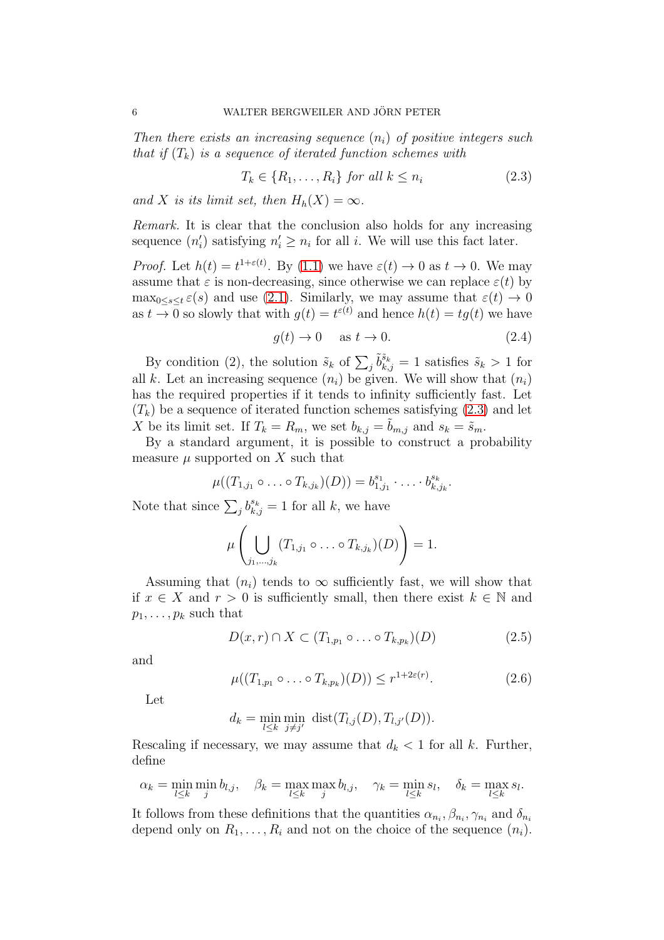Then there exists an increasing sequence  $(n_i)$  of positive integers such that if  $(T_k)$  is a sequence of iterated function schemes with

<span id="page-5-0"></span>
$$
T_k \in \{R_1, \dots, R_i\} \text{ for all } k \le n_i \tag{2.3}
$$

and X is its limit set, then  $H_h(X) = \infty$ .

Remark. It is clear that the conclusion also holds for any increasing sequence  $(n'_i)$  satisfying  $n'_i \geq n_i$  for all *i*. We will use this fact later.

*Proof.* Let  $h(t) = t^{1+\epsilon(t)}$ . By [\(1.1\)](#page-1-1) we have  $\epsilon(t) \to 0$  as  $t \to 0$ . We may assume that  $\varepsilon$  is non-decreasing, since otherwise we can replace  $\varepsilon(t)$  by  $\max_{0 \leq s \leq t} \varepsilon(s)$  and use [\(2.1\)](#page-3-1). Similarly, we may assume that  $\varepsilon(t) \to 0$ as  $t \to 0$  so slowly that with  $g(t) = t^{\varepsilon(t)}$  and hence  $h(t) = tg(t)$  we have

<span id="page-5-3"></span>
$$
g(t) \to 0 \quad \text{ as } t \to 0. \tag{2.4}
$$

By condition (2), the solution  $\tilde{s}_k$  of  $\sum_j \tilde{b}_{k,j}^{\tilde{s}_k} = 1$  satisfies  $\tilde{s}_k > 1$  for all k. Let an increasing sequence  $(n_i)$  be given. We will show that  $(n_i)$ has the required properties if it tends to infinity sufficiently fast. Let  $(T_k)$  be a sequence of iterated function schemes satisfying [\(2.3\)](#page-5-0) and let X be its limit set. If  $T_k = R_m$ , we set  $b_{k,j} = b_{m,j}$  and  $s_k = \tilde{s}_m$ .

By a standard argument, it is possible to construct a probability measure  $\mu$  supported on X such that

$$
\mu((T_{1,j_1}\circ\ldots\circ T_{k,j_k})(D))=b_{1,j_1}^{s_1}\cdot\ldots\cdot b_{k,j_k}^{s_k}.
$$

Note that since  $\sum_j b_{k,j}^{s_k} = 1$  for all k, we have

$$
\mu\left(\bigcup_{j_1,\dots,j_k}(T_{1,j_1}\circ\ldots\circ T_{k,j_k})(D)\right)=1.
$$

Assuming that  $(n_i)$  tends to  $\infty$  sufficiently fast, we will show that if  $x \in X$  and  $r > 0$  is sufficiently small, then there exist  $k \in \mathbb{N}$  and  $p_1, \ldots, p_k$  such that

<span id="page-5-1"></span>
$$
D(x,r) \cap X \subset (T_{1,p_1} \circ \dots \circ T_{k,p_k})(D) \tag{2.5}
$$

and

<span id="page-5-2"></span>
$$
\mu((T_{1,p_1}\circ\ldots\circ T_{k,p_k})(D))\leq r^{1+2\varepsilon(r)}.
$$
\n(2.6)

Let

$$
d_k = \min_{l \leq k} \min_{j \neq j'} \text{dist}(T_{l,j}(D), T_{l,j'}(D)).
$$

Rescaling if necessary, we may assume that  $d_k < 1$  for all k. Further, define

$$
\alpha_k = \min_{l \le k} \min_j b_{l,j}, \quad \beta_k = \max_{l \le k} \max_j b_{l,j}, \quad \gamma_k = \min_{l \le k} s_l, \quad \delta_k = \max_{l \le k} s_l.
$$

It follows from these definitions that the quantities  $\alpha_{n_i}, \beta_{n_i}, \gamma_{n_i}$  and  $\delta_{n_i}$ depend only on  $R_1, \ldots, R_i$  and not on the choice of the sequence  $(n_i)$ .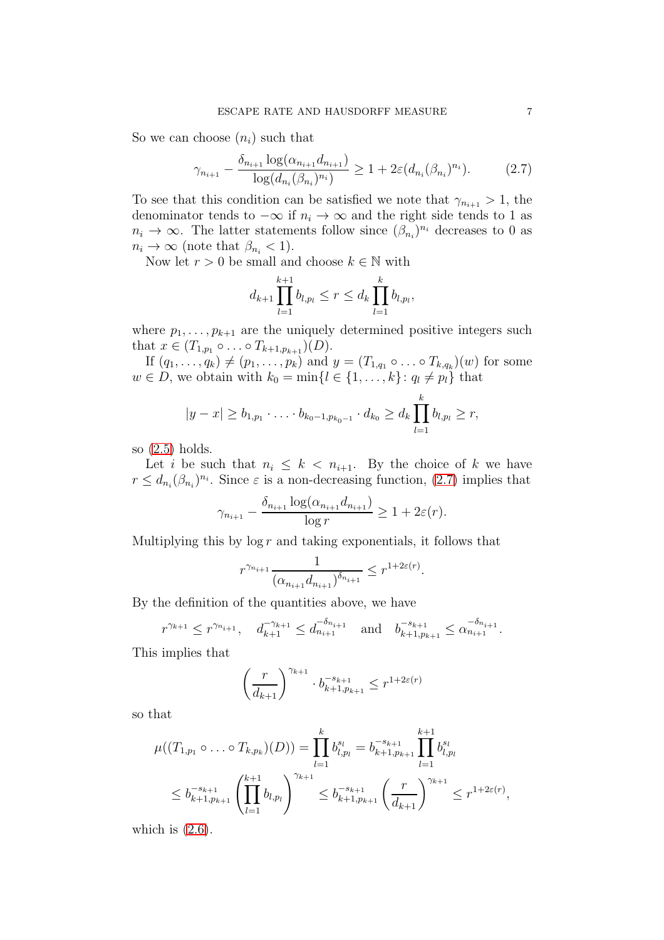So we can choose  $(n_i)$  such that

<span id="page-6-0"></span>
$$
\gamma_{n_{i+1}} - \frac{\delta_{n_{i+1}} \log(\alpha_{n_{i+1}} d_{n_{i+1}})}{\log(d_{n_i}(\beta_{n_i})^{n_i})} \ge 1 + 2\varepsilon(d_{n_i}(\beta_{n_i})^{n_i}).\tag{2.7}
$$

To see that this condition can be satisfied we note that  $\gamma_{n_{i+1}} > 1$ , the denominator tends to  $-\infty$  if  $n_i \to \infty$  and the right side tends to 1 as  $n_i \to \infty$ . The latter statements follow since  $(\beta_{n_i})^{n_i}$  decreases to 0 as  $n_i \to \infty$  (note that  $\beta_{n_i} < 1$ ).

Now let  $r > 0$  be small and choose  $k \in \mathbb{N}$  with

$$
d_{k+1} \prod_{l=1}^{k+1} b_{l,p_l} \leq r \leq d_k \prod_{l=1}^k b_{l,p_l},
$$

where  $p_1, \ldots, p_{k+1}$  are the uniquely determined positive integers such that  $x \in (T_{1,p_1} \circ \ldots \circ T_{k+1,p_{k+1}})(D)$ .

If  $(q_1, \ldots, q_k) \neq (p_1, \ldots, p_k)$  and  $y = (T_{1,q_1} \circ \ldots \circ T_{k,q_k})(w)$  for some  $w \in D$ , we obtain with  $k_0 = \min\{l \in \{1, \ldots, k\} : q_l \neq p_l\}$  that

$$
|y-x|\geq b_{1,p_1}\cdot\ldots\cdot b_{k_0-1,p_{k_0-1}}\cdot d_{k_0}\geq d_k\prod_{l=1}^k b_{l,p_l}\geq r,
$$

so [\(2.5\)](#page-5-1) holds.

Let i be such that  $n_i \leq k \leq n_{i+1}$ . By the choice of k we have  $r \leq d_{n_i}(\beta_{n_i})^{n_i}$ . Since  $\varepsilon$  is a non-decreasing function, [\(2.7\)](#page-6-0) implies that

$$
\gamma_{n_{i+1}} - \frac{\delta_{n_{i+1}} \log(\alpha_{n_{i+1}} d_{n_{i+1}})}{\log r} \ge 1 + 2\varepsilon(r).
$$

Multiplying this by  $\log r$  and taking exponentials, it follows that

$$
r^{\gamma_{n_{i+1}}}\frac{1}{(\alpha_{n_{i+1}}d_{n_{i+1}})^{\delta_{n_{i+1}}}}\leq r^{1+2\varepsilon(r)}.
$$

By the definition of the quantities above, we have

$$
r^{\gamma_{k+1}} \leq r^{\gamma_{n_{i+1}}}, \quad d_{k+1}^{-\gamma_{k+1}} \leq d_{n_{i+1}}^{-\delta_{n_{i+1}}} \quad \text{and} \quad b_{k+1,p_{k+1}}^{-s_{k+1}} \leq \alpha_{n_{i+1}}^{-\delta_{n_{i+1}}}.
$$

This implies that

$$
\left(\frac{r}{d_{k+1}}\right)^{\gamma_{k+1}} \cdot b_{k+1,p_{k+1}}^{-s_{k+1}} \leq r^{1+2\varepsilon(r)}
$$

so that

$$
\mu((T_{1,p_1} \circ \dots \circ T_{k,p_k})(D)) = \prod_{l=1}^k b_{l,p_l}^{s_l} = b_{k+1,p_{k+1}}^{-s_{k+1}} \prod_{l=1}^{k+1} b_{l,p_l}^{s_l}
$$
  

$$
\leq b_{k+1,p_{k+1}}^{-s_{k+1}} \left( \prod_{l=1}^{k+1} b_{l,p_l} \right)^{\gamma_{k+1}} \leq b_{k+1,p_{k+1}}^{-s_{k+1}} \left( \frac{r}{d_{k+1}} \right)^{\gamma_{k+1}} \leq r^{1+2\varepsilon(r)},
$$

which is  $(2.6)$ .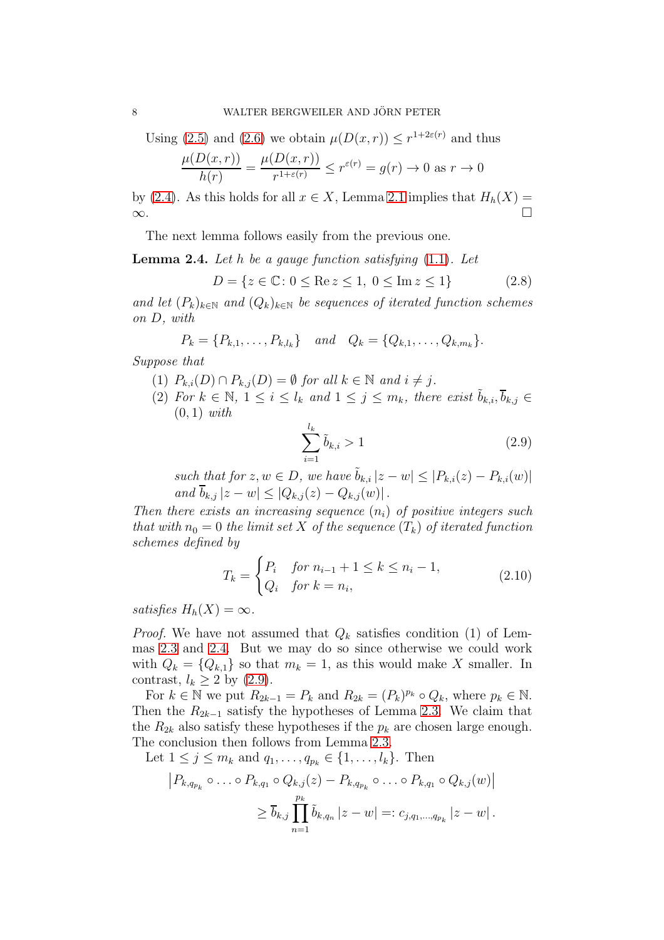Using [\(2.5\)](#page-5-1) and [\(2.6\)](#page-5-2) we obtain  $\mu(D(x,r)) \leq r^{1+2\varepsilon(r)}$  and thus

$$
\frac{\mu(D(x,r))}{h(r)} = \frac{\mu(D(x,r))}{r^{1+\varepsilon(r)}} \le r^{\varepsilon(r)} = g(r) \to 0 \text{ as } r \to 0
$$

by [\(2.4\)](#page-5-3). As this holds for all  $x \in X$ , Lemma [2.1](#page-3-2) implies that  $H_h(X) = \infty$ . <sup>∞</sup>.

The next lemma follows easily from the previous one.

<span id="page-7-0"></span>**Lemma 2.4.** Let h be a gauge function satisfying  $(1.1)$ . Let

<span id="page-7-2"></span>
$$
D = \{ z \in \mathbb{C} \colon 0 \le \text{Re } z \le 1, \ 0 \le \text{Im } z \le 1 \}
$$
 (2.8)

and let  $(P_k)_{k\in\mathbb{N}}$  and  $(Q_k)_{k\in\mathbb{N}}$  be sequences of iterated function schemes on D, with

$$
P_k = \{P_{k,1}, \ldots, P_{k,l_k}\} \quad and \quad Q_k = \{Q_{k,1}, \ldots, Q_{k,m_k}\}.
$$

Suppose that

- (1)  $P_{k,i}(D) \cap P_{k,j}(D) = \emptyset$  for all  $k \in \mathbb{N}$  and  $i \neq j$ .
- (2) For  $k \in \mathbb{N}$ ,  $1 \leq i \leq l_k$  and  $1 \leq j \leq m_k$ , there exist  $\tilde{b}_{k,i}, \overline{b}_{k,j} \in$  $(0, 1)$  with

<span id="page-7-1"></span>
$$
\sum_{i=1}^{l_k} \tilde{b}_{k,i} > 1 \tag{2.9}
$$

such that for  $z, w \in D$ , we have  $\tilde{b}_{k,i} |z-w| \leq |P_{k,i}(z)-P_{k,i}(w)|$ and  $\overline{b}_{k,j} |z-w| \leq |Q_{k,j}(z) - Q_{k,j}(w)|$ .

Then there exists an increasing sequence  $(n_i)$  of positive integers such that with  $n_0 = 0$  the limit set X of the sequence  $(T_k)$  of iterated function schemes defined by

<span id="page-7-3"></span>
$$
T_k = \begin{cases} P_i & \text{for } n_{i-1} + 1 \le k \le n_i - 1, \\ Q_i & \text{for } k = n_i, \end{cases}
$$
 (2.10)

satisfies  $H_h(X) = \infty$ .

*Proof.* We have not assumed that  $Q_k$  satisfies condition (1) of Lemmas [2.3](#page-4-1) and [2.4.](#page-7-0) But we may do so since otherwise we could work with  $Q_k = \{Q_{k,1}\}\$  so that  $m_k = 1$ , as this would make X smaller. In contrast,  $l_k \geq 2$  by  $(2.9)$ .

For  $k \in \mathbb{N}$  we put  $R_{2k-1} = P_k$  and  $R_{2k} = (P_k)^{p_k} \circ Q_k$ , where  $p_k \in \mathbb{N}$ . Then the  $R_{2k-1}$  satisfy the hypotheses of Lemma [2.3.](#page-4-1) We claim that the  $R_{2k}$  also satisfy these hypotheses if the  $p_k$  are chosen large enough. The conclusion then follows from Lemma [2.3.](#page-4-1)

Let  $1 \le j \le m_k$  and  $q_1, ..., q_{p_k} \in \{1, ..., l_k\}$ . Then

$$
\left| P_{k,q_{p_k}} \circ \ldots \circ P_{k,q_1} \circ Q_{k,j}(z) - P_{k,q_{p_k}} \circ \ldots \circ P_{k,q_1} \circ Q_{k,j}(w) \right|
$$
  

$$
\geq \overline{b}_{k,j} \prod_{n=1}^{p_k} \tilde{b}_{k,q_n} |z-w| =: c_{j,q_1,\ldots,q_{p_k}} |z-w|.
$$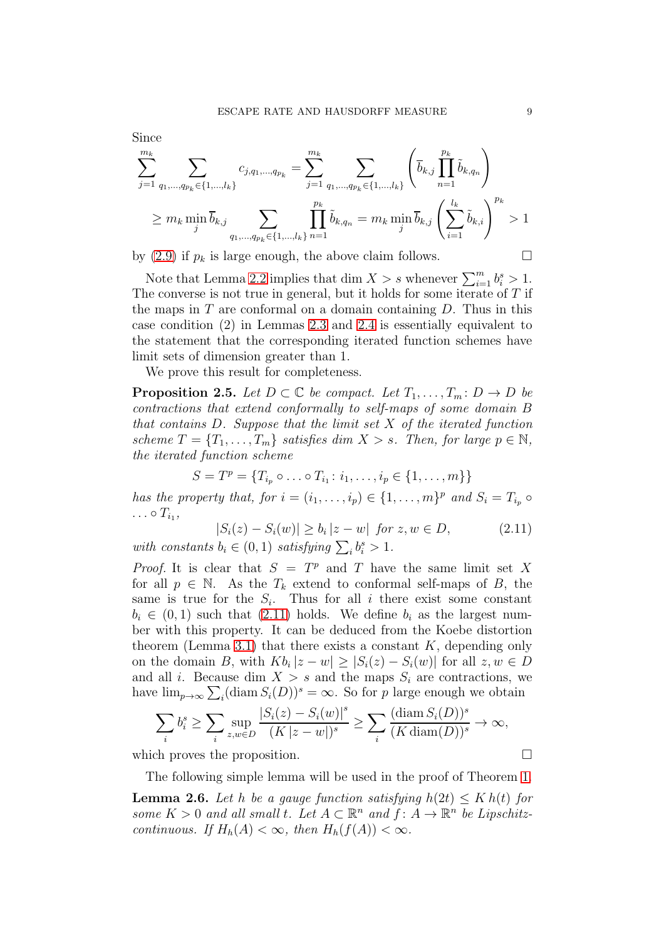Since

$$
\sum_{j=1}^{m_k} \sum_{q_1, \dots, q_{p_k} \in \{1, \dots, l_k\}} c_{j,q_1, \dots, q_{p_k}} = \sum_{j=1}^{m_k} \sum_{q_1, \dots, q_{p_k} \in \{1, \dots, l_k\}} \left( \overline{b}_{k,j} \prod_{n=1}^{p_k} \tilde{b}_{k,q_n} \right)
$$
\n
$$
\geq m_k \min_j \overline{b}_{k,j} \sum_{q_1, \dots, q_{p_k} \in \{1, \dots, l_k\}} \prod_{n=1}^{p_k} \tilde{b}_{k,q_n} = m_k \min_j \overline{b}_{k,j} \left( \sum_{i=1}^{l_k} \tilde{b}_{k,i} \right)^{p_k} > 1
$$

by [\(2.9\)](#page-7-1) if  $p_k$  is large enough, the above claim follows.  $\Box$ 

Note that Lemma [2.2](#page-4-0) implies that dim  $X > s$  whenever  $\sum_{i=1}^{m} b_i^s > 1$ . The converse is not true in general, but it holds for some iterate of T if the maps in  $T$  are conformal on a domain containing  $D$ . Thus in this case condition (2) in Lemmas [2.3](#page-4-1) and [2.4](#page-7-0) is essentially equivalent to the statement that the corresponding iterated function schemes have limit sets of dimension greater than 1.

We prove this result for completeness.

**Proposition 2.5.** Let  $D \subset \mathbb{C}$  be compact. Let  $T_1, \ldots, T_m : D \to D$  be contractions that extend conformally to self-maps of some domain B that contains  $D$ . Suppose that the limit set  $X$  of the iterated function scheme  $T = \{T_1, \ldots, T_m\}$  satisfies dim  $X > s$ . Then, for large  $p \in \mathbb{N}$ , the iterated function scheme

<span id="page-8-0"></span> $S = T^p = \{T_{i_p} \circ \dots \circ T_{i_1} : i_1, \dots, i_p \in \{1, \dots, m\}\}\$ 

has the property that, for  $i = (i_1, \ldots, i_p) \in \{1, \ldots, m\}^p$  and  $S_i = T_{i_p} \circ \ldots$  $\ldots \circ T_{i_1},$ 

$$
|S_i(z) - S_i(w)| \ge b_i |z - w| \text{ for } z, w \in D,
$$
  
with constants  $b_i \in (0, 1)$  satisfying  $\sum_i b_i^s > 1$ . (2.11)

*Proof.* It is clear that  $S = T^p$  and T have the same limit set X for all  $p \in \mathbb{N}$ . As the  $T_k$  extend to conformal self-maps of B, the same is true for the  $S_i$ . Thus for all i there exist some constant  $b_i \in (0,1)$  such that  $(2.11)$  holds. We define  $b_i$  as the largest number with this property. It can be deduced from the Koebe distortion theorem (Lemma [3.1\)](#page-10-0) that there exists a constant  $K$ , depending only on the domain B, with  $Kb_i |z-w| \geq |S_i(z) - S_i(w)|$  for all  $z, w \in D$ and all i. Because dim  $X > s$  and the maps  $S_i$  are contractions, we have  $\lim_{p\to\infty}\sum_i(\text{diam }S_i(D))^s=\infty$ . So for p large enough we obtain

$$
\sum_{i} b_i^s \ge \sum_{i} \sup_{z,w \in D} \frac{|S_i(z) - S_i(w)|^s}{(K |z - w|)^s} \ge \sum_{i} \frac{(\text{diam } S_i(D))^s}{(K \text{diam}(D))^s} \to \infty,
$$

which proves the proposition.

<span id="page-8-1"></span>The following simple lemma will be used in the proof of Theorem [1.](#page-1-0) **Lemma 2.6.** Let h be a gauge function satisfying  $h(2t) \leq K h(t)$  for some  $K > 0$  and all small t. Let  $A \subseteq \mathbb{R}^n$  and  $f: A \to \mathbb{R}^n$  be Lipschitzcontinuous. If  $H_h(A) < \infty$ , then  $H_h(f(A)) < \infty$ .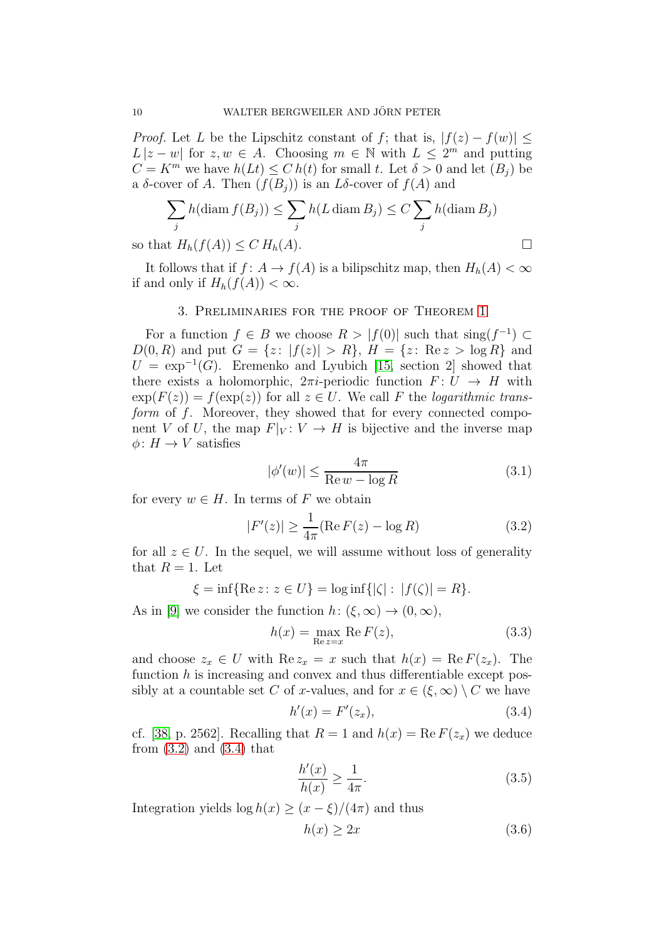*Proof.* Let L be the Lipschitz constant of f; that is,  $|f(z) - f(w)| \le$  $L |z-w|$  for  $z, w \in A$ . Choosing  $m \in \mathbb{N}$  with  $L \leq 2^m$  and putting  $C = K^m$  we have  $h(Lt) \leq C h(t)$  for small t. Let  $\delta > 0$  and let  $(B_i)$  be a  $\delta$ -cover of A. Then  $(f(B_i))$  is an L $\delta$ -cover of  $f(A)$  and

$$
\sum_{j} h(\text{diam } f(B_j)) \le \sum_{j} h(L \text{ diam } B_j) \le C \sum_{j} h(\text{diam } B_j)
$$

so that  $H_h(f(A)) \leq C H_h(A)$ .

<span id="page-9-0"></span>It follows that if  $f: A \to f(A)$  is a bilipschitz map, then  $H_h(A) < \infty$ if and only if  $H_h(f(A)) < \infty$ .

# 3. Preliminaries for the proof of Theorem [1](#page-1-0)

For a function  $f \in B$  we choose  $R > |f(0)|$  such that  $\text{sing}(f^{-1}) \subset$  $D(0, R)$  and put  $G = \{z : |f(z)| > R\}, H = \{z : \text{Re } z > \log R\}$  and  $U = \exp^{-1}(G)$ . Eremenko and Lyubich [\[15,](#page-22-6) section 2] showed that there exists a holomorphic,  $2\pi i$ -periodic function  $F: U \to H$  with  $\exp(F(z)) = f(\exp(z))$  for all  $z \in U$ . We call F the *logarithmic trans*form of f. Moreover, they showed that for every connected component V of U, the map  $F|_V: V \to H$  is bijective and the inverse map  $\phi: H \to V$  satisfies

<span id="page-9-4"></span>
$$
|\phi'(w)| \le \frac{4\pi}{\text{Re}\,w - \log R} \tag{3.1}
$$

for every  $w \in H$ . In terms of F we obtain

<span id="page-9-1"></span>
$$
|F'(z)| \ge \frac{1}{4\pi} (\text{Re}\, F(z) - \log R) \tag{3.2}
$$

for all  $z \in U$ . In the sequel, we will assume without loss of generality that  $R = 1$ . Let

$$
\xi = \inf \{ \text{Re } z \colon z \in U \} = \log \inf \{ |\zeta| : |f(\zeta)| = R \}.
$$

As in [\[9\]](#page-22-4) we consider the function  $h: (\xi, \infty) \to (0, \infty)$ ,

<span id="page-9-5"></span>
$$
h(x) = \max_{\text{Re } z = x} \text{Re } F(z),\tag{3.3}
$$

and choose  $z_x \in U$  with  $\text{Re } z_x = x$  such that  $h(x) = \text{Re } F(z_x)$ . The function  $h$  is increasing and convex and thus differentiable except possibly at a countable set C of x-values, and for  $x \in (\xi, \infty) \setminus C$  we have

<span id="page-9-2"></span>
$$
h'(x) = F'(z_x),\tag{3.4}
$$

cf. [\[38,](#page-23-16) p. 2562]. Recalling that  $R = 1$  and  $h(x) = \text{Re } F(z_x)$  we deduce from  $(3.2)$  and  $(3.4)$  that

<span id="page-9-3"></span>
$$
\frac{h'(x)}{h(x)} \ge \frac{1}{4\pi}.\tag{3.5}
$$

Integration yields  $\log h(x) \geq (x - \xi)/(4\pi)$  and thus

<span id="page-9-6"></span>
$$
h(x) \ge 2x \tag{3.6}
$$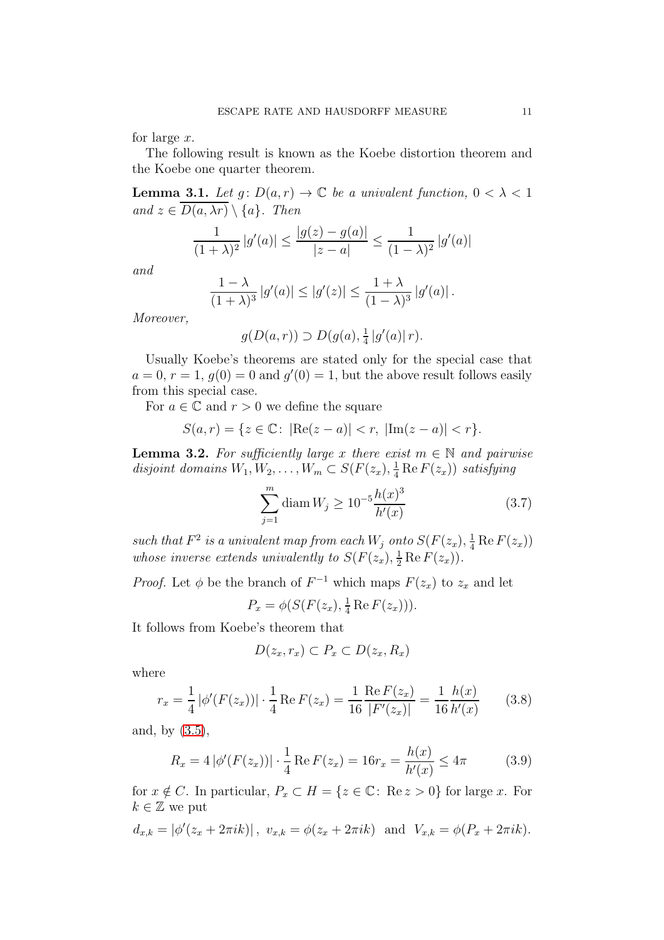for large  $x$ .

The following result is known as the Koebe distortion theorem and the Koebe one quarter theorem.

<span id="page-10-0"></span>**Lemma 3.1.** Let  $g: D(a,r) \to \mathbb{C}$  be a univalent function,  $0 < \lambda < 1$ and  $z \in \overline{D(a, \lambda r)} \setminus \{a\}$ . Then

$$
\frac{1}{(1+\lambda)^2} |g'(a)| \le \frac{|g(z) - g(a)|}{|z - a|} \le \frac{1}{(1-\lambda)^2} |g'(a)|
$$

and

$$
\frac{1-\lambda}{(1+\lambda)^3}|g'(a)| \le |g'(z)| \le \frac{1+\lambda}{(1-\lambda)^3}|g'(a)|.
$$

Moreover,

$$
g(D(a,r)) \supset D(g(a), \frac{1}{4} |g'(a)| r).
$$

Usually Koebe's theorems are stated only for the special case that  $a = 0, r = 1, g(0) = 0$  and  $g'(0) = 1$ , but the above result follows easily from this special case.

For  $a \in \mathbb{C}$  and  $r > 0$  we define the square

$$
S(a,r) = \{ z \in \mathbb{C} \colon \left| \text{Re}(z-a) \right| < r, \, \left| \text{Im}(z-a) \right| < r \}.
$$

<span id="page-10-4"></span>**Lemma 3.2.** For sufficiently large x there exist  $m \in \mathbb{N}$  and pairwise disjoint domains  $W_1, W_2, \ldots, W_m \subset S(F(z_x), \frac{1}{4} \text{Re } F(z_x))$  satisfying

<span id="page-10-3"></span>
$$
\sum_{j=1}^{m} \text{diam } W_j \ge 10^{-5} \frac{h(x)^3}{h'(x)}
$$
 (3.7)

such that  $F^2$  is a univalent map from each  $W_j$  onto  $S(F(z_x), \frac{1}{4} \text{Re } F(z_x))$ whose inverse extends univalently to  $S(F(z_x), \frac{1}{2} \text{Re } F(z_x)).$ 

*Proof.* Let  $\phi$  be the branch of  $F^{-1}$  which maps  $F(z_x)$  to  $z_x$  and let

$$
P_x = \phi(S(F(z_x), \frac{1}{4} \operatorname{Re} F(z_x))).
$$

It follows from Koebe's theorem that

$$
D(z_x,r_x) \subset P_x \subset D(z_x,R_x)
$$

where

<span id="page-10-2"></span>
$$
r_x = \frac{1}{4} |\phi'(F(z_x))| \cdot \frac{1}{4} \operatorname{Re} F(z_x) = \frac{1}{16} \frac{\operatorname{Re} F(z_x)}{|F'(z_x)|} = \frac{1}{16} \frac{h(x)}{h'(x)} \tag{3.8}
$$

and, by [\(3.5\)](#page-9-3),

<span id="page-10-1"></span>
$$
R_x = 4|\phi'(F(z_x))| \cdot \frac{1}{4} \operatorname{Re} F(z_x) = 16r_x = \frac{h(x)}{h'(x)} \le 4\pi \tag{3.9}
$$

for  $x \notin C$ . In particular,  $P_x \subset H = \{z \in \mathbb{C} : \text{Re } z > 0\}$  for large x. For  $k \in \mathbb{Z}$  we put

$$
d_{x,k} = |\phi'(z_x + 2\pi ik)|
$$
,  $v_{x,k} = \phi(z_x + 2\pi ik)$  and  $V_{x,k} = \phi(P_x + 2\pi ik)$ .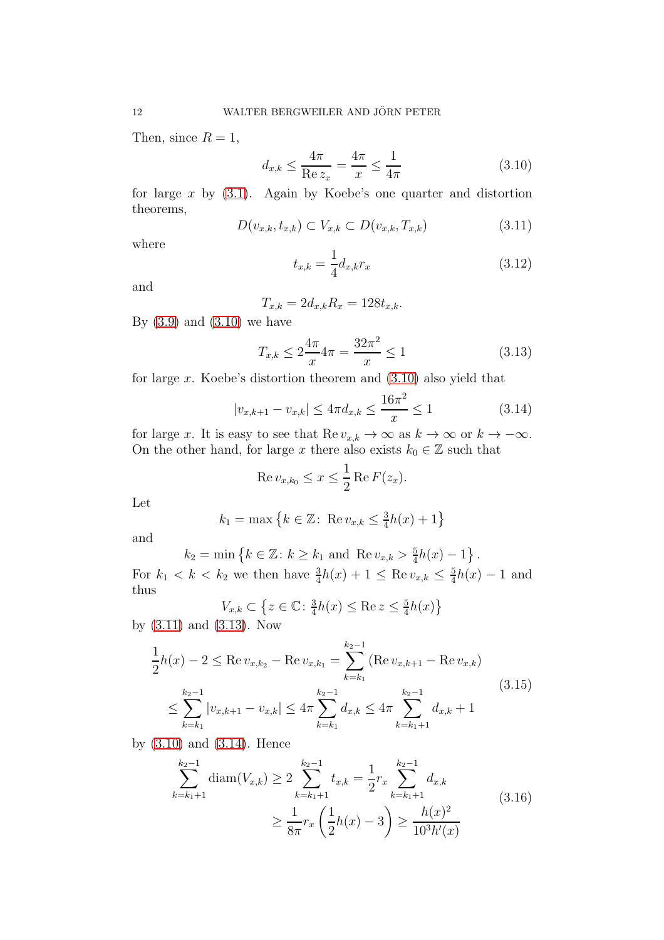Then, since  $R = 1$ ,

<span id="page-11-0"></span>
$$
d_{x,k} \le \frac{4\pi}{\text{Re } z_x} = \frac{4\pi}{x} \le \frac{1}{4\pi} \tag{3.10}
$$

for large  $x$  by  $(3.1)$ . Again by Koebe's one quarter and distortion theorems,

<span id="page-11-1"></span>
$$
D(v_{x,k}, t_{x,k}) \subset V_{x,k} \subset D(v_{x,k}, T_{x,k})
$$
\n
$$
(3.11)
$$

where

<span id="page-11-4"></span>
$$
t_{x,k} = \frac{1}{4} d_{x,k} r_x \tag{3.12}
$$

and

$$
T_{x,k} = 2d_{x,k}R_x = 128t_{x,k}.
$$

By  $(3.9)$  and  $(3.10)$  we have

<span id="page-11-2"></span>
$$
T_{x,k} \le 2\frac{4\pi}{x} 4\pi = \frac{32\pi^2}{x} \le 1\tag{3.13}
$$

for large  $x$ . Koebe's distortion theorem and  $(3.10)$  also yield that

<span id="page-11-3"></span>
$$
|v_{x,k+1} - v_{x,k}| \le 4\pi d_{x,k} \le \frac{16\pi^2}{x} \le 1
$$
\n(3.14)

for large x. It is easy to see that  $\text{Re } v_{x,k} \to \infty$  as  $k \to \infty$  or  $k \to -\infty$ . On the other hand, for large x there also exists  $k_0 \in \mathbb{Z}$  such that

$$
\operatorname{Re} v_{x,k_0} \le x \le \frac{1}{2} \operatorname{Re} F(z_x).
$$

Let

$$
k_1 = \max \{ k \in \mathbb{Z} : \text{Re } v_{x,k} \leq \frac{3}{4}h(x) + 1 \}
$$

and

$$
k_2 = \min \{ k \in \mathbb{Z} : k \ge k_1 \text{ and } \text{Re } v_{x,k} > \frac{5}{4}h(x) - 1 \}.
$$

For  $k_1 < k < k_2$  we then have  $\frac{3}{4}h(x) + 1 \leq \text{Re } v_{x,k} \leq \frac{5}{4}$  $\frac{5}{4}h(x) - 1$  and thus

$$
V_{x,k} \subset \left\{ z \in \mathbb{C} : \frac{3}{4}h(x) \le \text{Re } z \le \frac{5}{4}h(x) \right\}
$$

by [\(3.11\)](#page-11-1) and [\(3.13\)](#page-11-2). Now

<span id="page-11-5"></span>
$$
\frac{1}{2}h(x) - 2 \le \text{Re } v_{x,k_2} - \text{Re } v_{x,k_1} = \sum_{k=k_1}^{k_2 - 1} (\text{Re } v_{x,k+1} - \text{Re } v_{x,k})
$$
\n
$$
\le \sum_{k=k_1}^{k_2 - 1} |v_{x,k+1} - v_{x,k}| \le 4\pi \sum_{k=k_1}^{k_2 - 1} d_{x,k} \le 4\pi \sum_{k=k_1+1}^{k_2 - 1} d_{x,k} + 1
$$
\n(3.15)

by [\(3.10\)](#page-11-0) and [\(3.14\)](#page-11-3). Hence

<span id="page-11-6"></span>
$$
\sum_{k=k_1+1}^{k_2-1} \operatorname{diam}(V_{x,k}) \ge 2 \sum_{k=k_1+1}^{k_2-1} t_{x,k} = \frac{1}{2} r_x \sum_{k=k_1+1}^{k_2-1} d_{x,k}
$$
\n
$$
\ge \frac{1}{8\pi} r_x \left(\frac{1}{2}h(x) - 3\right) \ge \frac{h(x)^2}{10^3 h'(x)}
$$
\n(3.16)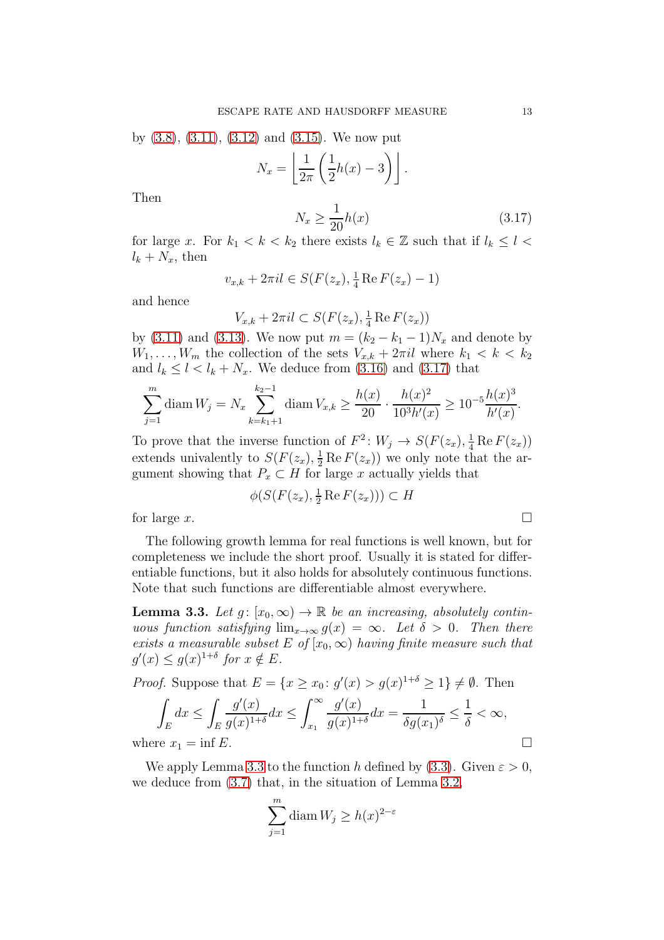by  $(3.8)$ ,  $(3.11)$ ,  $(3.12)$  and  $(3.15)$ . We now put

$$
N_x = \left\lfloor \frac{1}{2\pi} \left( \frac{1}{2} h(x) - 3 \right) \right\rfloor.
$$

Then

<span id="page-12-0"></span>
$$
N_x \ge \frac{1}{20}h(x) \tag{3.17}
$$

for large x. For  $k_1 < k < k_2$  there exists  $l_k \in \mathbb{Z}$  such that if  $l_k \leq l <$  $l_k + N_x$ , then

$$
v_{x,k} + 2\pi i l \in S(F(z_x), \frac{1}{4} \operatorname{Re} F(z_x) - 1)
$$

and hence

$$
V_{x,k} + 2\pi i l \subset S(F(z_x), \frac{1}{4} \operatorname{Re} F(z_x))
$$

by [\(3.11\)](#page-11-1) and [\(3.13\)](#page-11-2). We now put  $m = (k_2 - k_1 - 1)N_x$  and denote by  $W_1, \ldots, W_m$  the collection of the sets  $V_{x,k} + 2\pi i l$  where  $k_1 < k < k_2$ and  $l_k \leq l \leq l_k + N_x$ . We deduce from [\(3.16\)](#page-11-6) and [\(3.17\)](#page-12-0) that

$$
\sum_{j=1}^{m} \text{diam } W_j = N_x \sum_{k=k_1+1}^{k_2-1} \text{diam } V_{x,k} \ge \frac{h(x)}{20} \cdot \frac{h(x)^2}{10^3 h'(x)} \ge 10^{-5} \frac{h(x)^3}{h'(x)}.
$$

To prove that the inverse function of  $F^2$ :  $W_j \to S(F(z_x), \frac{1}{4} \text{Re } F(z_x))$ extends univalently to  $S(F(z_x), \frac{1}{2} \text{Re } F(z_x))$  we only note that the argument showing that  $P_x \subset H$  for large x actually yields that

$$
\phi(S(F(z_x), \frac{1}{2}\operatorname{Re}\, F(z_x))) \subset H
$$

for large  $x$ .

The following growth lemma for real functions is well known, but for completeness we include the short proof. Usually it is stated for differentiable functions, but it also holds for absolutely continuous functions. Note that such functions are differentiable almost everywhere.

<span id="page-12-1"></span>**Lemma 3.3.** Let  $g: [x_0, \infty) \to \mathbb{R}$  be an increasing, absolutely continuous function satisfying  $\lim_{x\to\infty} g(x) = \infty$ . Let  $\delta > 0$ . Then there exists a measurable subset E of  $[x_0, \infty)$  having finite measure such that  $g'(x) \le g(x)^{1+\delta}$  for  $x \notin E$ .

*Proof.* Suppose that 
$$
E = \{x \ge x_0 : g'(x) > g(x)^{1+\delta} \ge 1\} \ne \emptyset
$$
. Then  
\n
$$
\int_E dx \le \int_E \frac{g'(x)}{g(x)^{1+\delta}} dx \le \int_{x_1}^{\infty} \frac{g'(x)}{g(x)^{1+\delta}} dx = \frac{1}{\delta g(x_1)^{\delta}} \le \frac{1}{\delta} < \infty,
$$
\nwhere  $x_1 = \inf E$ .

We apply Lemma [3.3](#page-12-1) to the function h defined by [\(3.3\)](#page-9-5). Given  $\varepsilon > 0$ , we deduce from [\(3.7\)](#page-10-3) that, in the situation of Lemma [3.2,](#page-10-4)

$$
\sum_{j=1}^{m} \text{diam } W_j \ge h(x)^{2-\varepsilon}
$$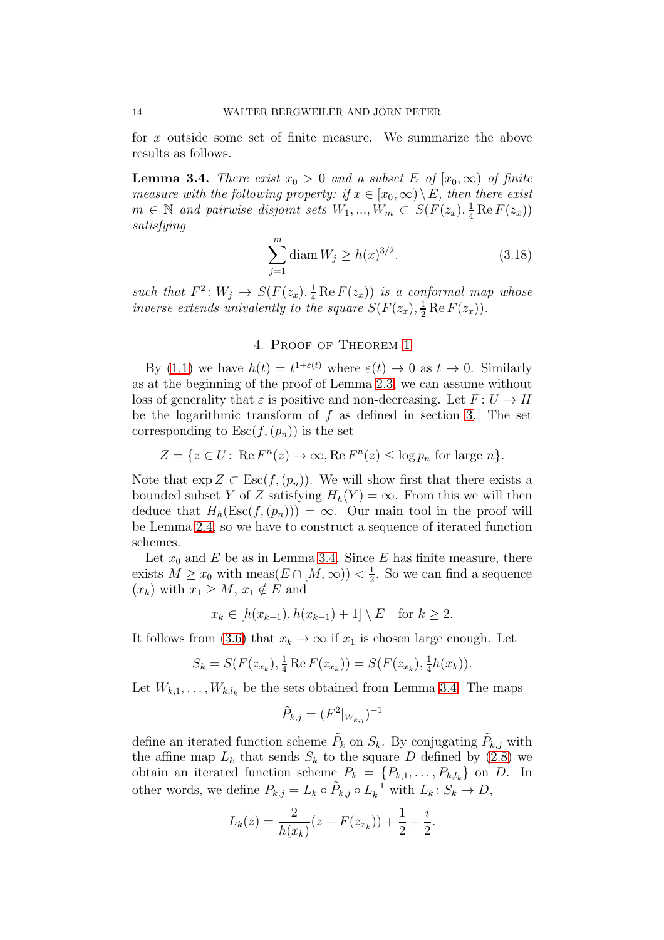for x outside some set of finite measure. We summarize the above results as follows.

<span id="page-13-0"></span>**Lemma 3.4.** There exist  $x_0 > 0$  and a subset E of  $[x_0, \infty)$  of finite measure with the following property: if  $x \in [x_0, \infty) \setminus E$ , then there exist  $m \in \mathbb{N}$  and pairwise disjoint sets  $W_1, ..., W_m \subset S(F(z_x), \frac{1}{4} \text{Re } F(z_x))$ satisfying

<span id="page-13-2"></span>
$$
\sum_{j=1}^{m} \text{diam } W_j \ge h(x)^{3/2}.
$$
 (3.18)

such that  $F^2: W_j \to S(F(z_x), \frac{1}{4} \text{Re } F(z_x))$  is a conformal map whose inverse extends univalently to the square  $S(F(z_x), \frac{1}{2} \text{Re } F(z_x)).$ 

## 4. Proof of Theorem [1](#page-1-0)

<span id="page-13-1"></span>By [\(1.1\)](#page-1-1) we have  $h(t) = t^{1+\varepsilon(t)}$  where  $\varepsilon(t) \to 0$  as  $t \to 0$ . Similarly as at the beginning of the proof of Lemma [2.3,](#page-4-1) we can assume without loss of generality that  $\varepsilon$  is positive and non-decreasing. Let  $F: U \to H$ be the logarithmic transform of  $f$  as defined in section [3.](#page-9-0) The set corresponding to  $\text{Esc}(f,(p_n))$  is the set

$$
Z = \{ z \in U : \text{Re } F^n(z) \to \infty, \text{Re } F^n(z) \le \log p_n \text{ for large } n \}.
$$

Note that  $\exp Z \subset \text{Esc}(f,(p_n))$ . We will show first that there exists a bounded subset Y of Z satisfying  $H_h(Y) = \infty$ . From this we will then deduce that  $H_h(\text{Esc}(f,(p_n))) = \infty$ . Our main tool in the proof will be Lemma [2.4,](#page-7-0) so we have to construct a sequence of iterated function schemes.

Let  $x_0$  and E be as in Lemma [3.4.](#page-13-0) Since E has finite measure, there exists  $M \ge x_0$  with meas $(E \cap [M,\infty)) < \frac{1}{2}$  $\frac{1}{2}$ . So we can find a sequence  $(x_k)$  with  $x_1 \geq M$ ,  $x_1 \notin E$  and

$$
x_k \in [h(x_{k-1}), h(x_{k-1}) + 1] \setminus E \quad \text{for } k \ge 2.
$$

It follows from [\(3.6\)](#page-9-6) that  $x_k \to \infty$  if  $x_1$  is chosen large enough. Let

$$
S_k = S(F(z_{x_k}), \frac{1}{4} \operatorname{Re} F(z_{x_k})) = S(F(z_{x_k}), \frac{1}{4}h(x_k)).
$$

Let  $W_{k,1}, \ldots, W_{k,l_k}$  be the sets obtained from Lemma [3.4.](#page-13-0) The maps

$$
\tilde{P}_{k,j} = (F^2|_{W_{k,j}})^{-1}
$$

define an iterated function scheme  $\tilde{P}_k$  on  $S_k$ . By conjugating  $\tilde{P}_{k,j}$  with the affine map  $L_k$  that sends  $S_k$  to the square D defined by [\(2.8\)](#page-7-2) we obtain an iterated function scheme  $P_k = \{P_{k,1}, \ldots, P_{k,l_k}\}\$  on D. In other words, we define  $P_{k,j} = L_k \circ \tilde{P}_{k,j} \circ L_k^{-1}$  with  $L_k: S_k \to D$ ,

$$
L_k(z) = \frac{2}{h(x_k)}(z - F(z_{x_k})) + \frac{1}{2} + \frac{i}{2}.
$$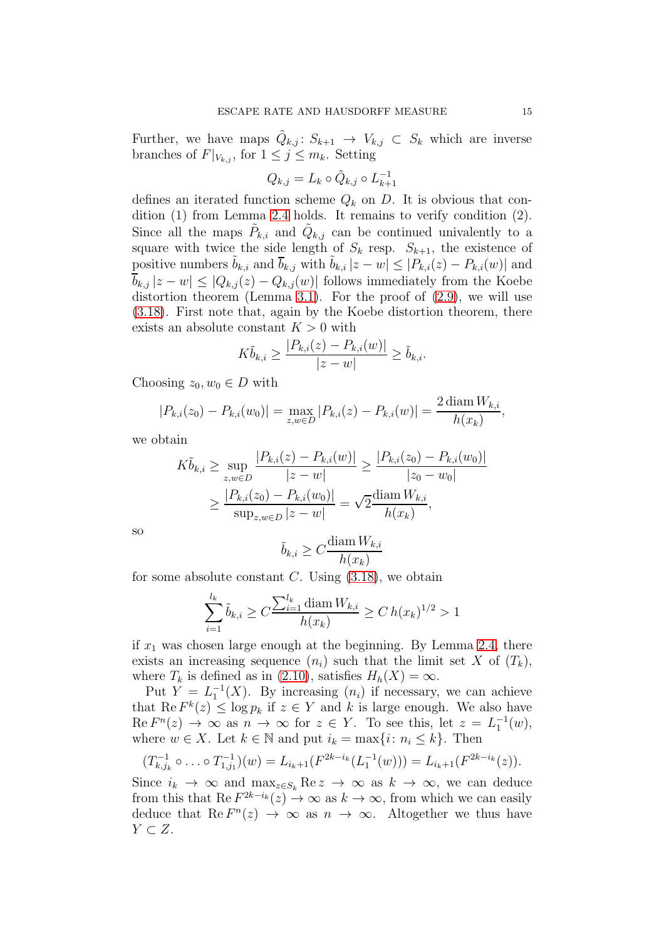Further, we have maps  $\tilde{Q}_{k,j}$ :  $S_{k+1} \to V_{k,j} \subset S_k$  which are inverse branches of  $F|_{V_{k,i}}$ , for  $1 \leq j \leq m_k$ . Setting

$$
Q_{k,j} = L_k \circ \tilde{Q}_{k,j} \circ L_{k+1}^{-1}
$$

defines an iterated function scheme  $Q_k$  on D. It is obvious that condition (1) from Lemma [2.4](#page-7-0) holds. It remains to verify condition (2). Since all the maps  $\tilde{P}_{k,i}$  and  $\tilde{Q}_{k,j}$  can be continued univalently to a square with twice the side length of  $S_k$  resp.  $S_{k+1}$ , the existence of positive numbers  $\tilde{b}_{k,i}$  and  $\overline{b}_{k,j}$  with  $\tilde{b}_{k,i} |z-w| \leq |P_{k,i}(z) - P_{k,i}(w)|$  and  $\overline{b}_{k,j} |z-w| \leq |Q_{k,j}(z) - Q_{k,j}(w)|$  follows immediately from the Koebe distortion theorem (Lemma [3.1\)](#page-10-0). For the proof of [\(2.9\)](#page-7-1), we will use [\(3.18\)](#page-13-2). First note that, again by the Koebe distortion theorem, there exists an absolute constant  $K > 0$  with

$$
K\tilde{b}_{k,i} \ge \frac{|P_{k,i}(z) - P_{k,i}(w)|}{|z - w|} \ge \tilde{b}_{k,i}.
$$

Choosing  $z_0, w_0 \in D$  with

$$
|P_{k,i}(z_0) - P_{k,i}(w_0)| = \max_{z,w \in D} |P_{k,i}(z) - P_{k,i}(w)| = \frac{2 \operatorname{diam} W_{k,i}}{h(x_k)},
$$

we obtain

$$
K\tilde{b}_{k,i} \ge \sup_{z,w \in D} \frac{|P_{k,i}(z) - P_{k,i}(w)|}{|z - w|} \ge \frac{|P_{k,i}(z_0) - P_{k,i}(w_0)|}{|z_0 - w_0|}
$$
  
 
$$
\ge \frac{|P_{k,i}(z_0) - P_{k,i}(w_0)|}{\sup_{z,w \in D} |z - w|} = \sqrt{2} \frac{\text{diam } W_{k,i}}{h(x_k)},
$$

so

$$
\tilde{b}_{k,i} \ge C \frac{\text{diam } W_{k,i}}{h(x_k)}
$$

for some absolute constant  $C$ . Using  $(3.18)$ , we obtain

$$
\sum_{i=1}^{l_k} \tilde{b}_{k,i} \ge C \frac{\sum_{i=1}^{l_k} \text{diam } W_{k,i}}{h(x_k)} \ge C h(x_k)^{1/2} > 1
$$

if  $x_1$  was chosen large enough at the beginning. By Lemma [2.4,](#page-7-0) there exists an increasing sequence  $(n_i)$  such that the limit set X of  $(T_k)$ , where  $T_k$  is defined as in [\(2.10\)](#page-7-3), satisfies  $H_h(X) = \infty$ .

Put  $Y = L_1^{-1}(X)$ . By increasing  $(n_i)$  if necessary, we can achieve that  $\text{Re } F^k(z) \leq \log p_k$  if  $z \in Y$  and k is large enough. We also have  $\text{Re } F^n(z) \to \infty$  as  $n \to \infty$  for  $z \in Y$ . To see this, let  $z = L_1^{-1}(w)$ , where  $w \in X$ . Let  $k \in \mathbb{N}$  and put  $i_k = \max\{i : n_i \leq k\}$ . Then

$$
(T_{k,j_k}^{-1} \circ \ldots \circ T_{1,j_1}^{-1})(w) = L_{i_k+1}(F^{2k-i_k}(L_1^{-1}(w))) = L_{i_k+1}(F^{2k-i_k}(z)).
$$

Since  $i_k \to \infty$  and  $\max_{z \in S_k} \text{Re } z \to \infty$  as  $k \to \infty$ , we can deduce from this that  $\text{Re } F^{2k-i_k}(z) \to \infty$  as  $k \to \infty$ , from which we can easily deduce that  $\text{Re } F^n(z) \to \infty$  as  $n \to \infty$ . Altogether we thus have  $Y \subset Z$ .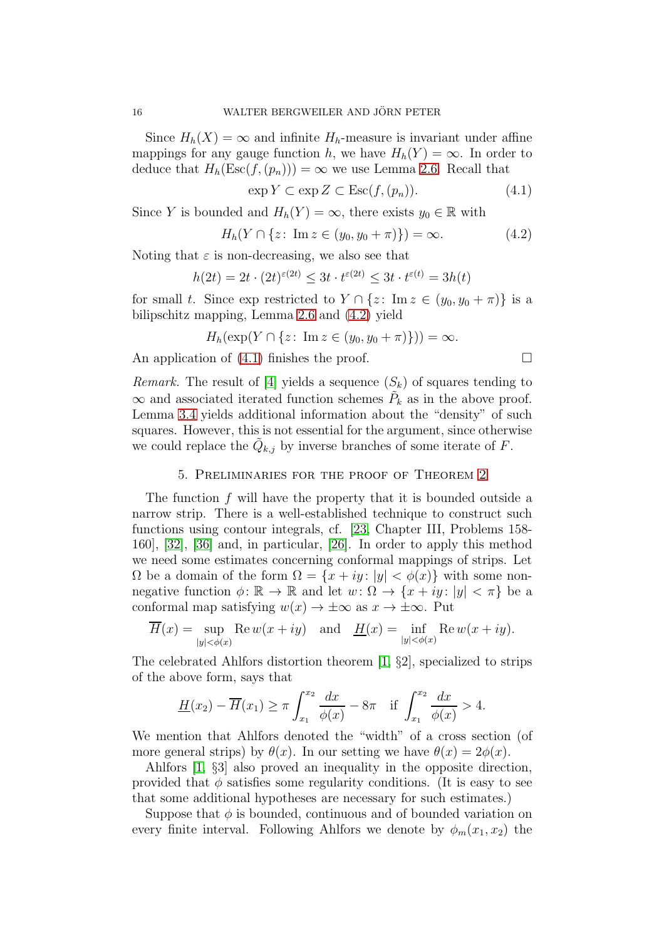Since  $H_h(X) = \infty$  and infinite  $H_h$ -measure is invariant under affine mappings for any gauge function h, we have  $H_h(Y) = \infty$ . In order to deduce that  $H_h(\text{Esc}(f,(p_n))) = \infty$  we use Lemma [2.6.](#page-8-1) Recall that

<span id="page-15-2"></span>
$$
\exp Y \subset \exp Z \subset \operatorname{Esc}(f,(p_n)).\tag{4.1}
$$

Since Y is bounded and  $H_h(Y) = \infty$ , there exists  $y_0 \in \mathbb{R}$  with

<span id="page-15-1"></span>
$$
H_h(Y \cap \{z \colon \text{Im } z \in (y_0, y_0 + \pi)\}) = \infty. \tag{4.2}
$$

Noting that  $\varepsilon$  is non-decreasing, we also see that

$$
h(2t) = 2t \cdot (2t)^{\varepsilon(2t)} \le 3t \cdot t^{\varepsilon(2t)} \le 3t \cdot t^{\varepsilon(t)} = 3h(t)
$$

for small t. Since exp restricted to  $Y \cap \{z: \text{Im } z \in (y_0, y_0 + \pi)\}\$ is a bilipschitz mapping, Lemma [2.6](#page-8-1) and [\(4.2\)](#page-15-1) yield

$$
H_h(\exp(Y \cap \{z \colon \operatorname{Im} z \in (y_0, y_0 + \pi)\})) = \infty.
$$

An application of  $(4.1)$  finishes the proof.

*Remark.* The result of [\[4\]](#page-22-3) yields a sequence  $(S_k)$  of squares tending to  $\infty$  and associated iterated function schemes  $\tilde{P}_k$  as in the above proof. Lemma [3.4](#page-13-0) yields additional information about the "density" of such squares. However, this is not essential for the argument, since otherwise we could replace the  $\tilde{Q}_{k,j}$  by inverse branches of some iterate of F.

# 5. Preliminaries for the proof of Theorem [2](#page-2-1)

<span id="page-15-0"></span>The function  $f$  will have the property that it is bounded outside a narrow strip. There is a well-established technique to construct such functions using contour integrals, cf. [\[23,](#page-23-17) Chapter III, Problems 158- 160], [\[32\]](#page-23-18), [\[36\]](#page-23-11) and, in particular, [\[26\]](#page-23-19). In order to apply this method we need some estimates concerning conformal mappings of strips. Let  $\Omega$  be a domain of the form  $\Omega = \{x + iy : |y| < \phi(x)\}\$  with some nonnegative function  $\phi: \mathbb{R} \to \mathbb{R}$  and let  $w: \Omega \to \{x + iy : |y| < \pi\}$  be a conformal map satisfying  $w(x) \to \pm \infty$  as  $x \to \pm \infty$ . Put

$$
\overline{H}(x) = \sup_{|y| < \phi(x)} \text{Re } w(x + iy) \quad \text{and} \quad \underline{H}(x) = \inf_{|y| < \phi(x)} \text{Re } w(x + iy).
$$

The celebrated Ahlfors distortion theorem [\[1,](#page-22-14) §2], specialized to strips of the above form, says that

$$
\underline{H}(x_2) - \overline{H}(x_1) \ge \pi \int_{x_1}^{x_2} \frac{dx}{\phi(x)} - 8\pi \quad \text{if } \int_{x_1}^{x_2} \frac{dx}{\phi(x)} > 4.
$$

We mention that Ahlfors denoted the "width" of a cross section (of more general strips) by  $\theta(x)$ . In our setting we have  $\theta(x) = 2\phi(x)$ .

Ahlfors [\[1,](#page-22-14) §3] also proved an inequality in the opposite direction, provided that  $\phi$  satisfies some regularity conditions. (It is easy to see that some additional hypotheses are necessary for such estimates.)

Suppose that  $\phi$  is bounded, continuous and of bounded variation on every finite interval. Following Ahlfors we denote by  $\phi_m(x_1, x_2)$  the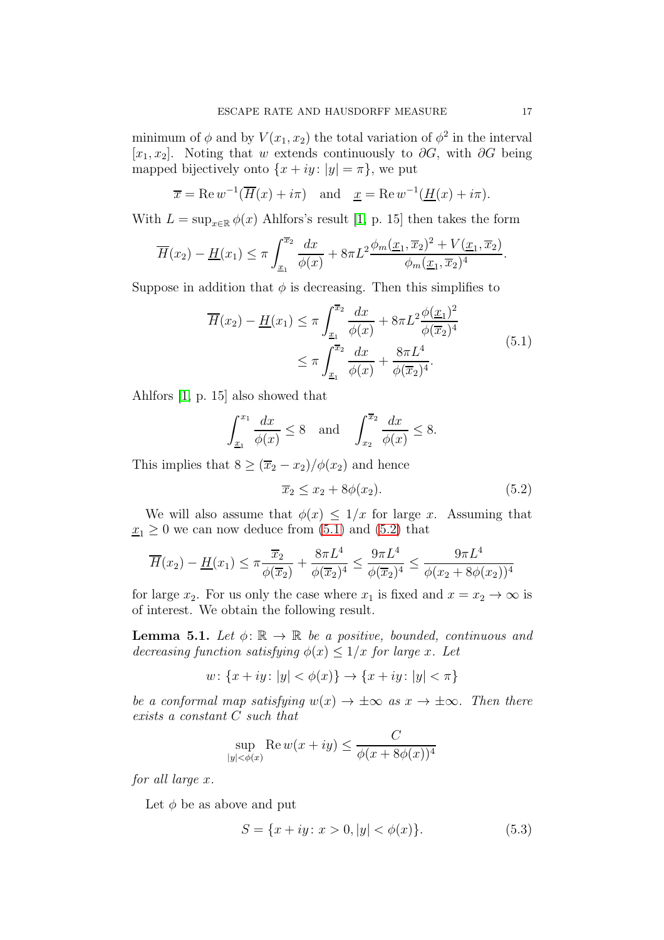minimum of  $\phi$  and by  $V(x_1, x_2)$  the total variation of  $\phi^2$  in the interval [x<sub>1</sub>, x<sub>2</sub>]. Noting that w extends continuously to  $\partial G$ , with  $\partial G$  being mapped bijectively onto  $\{x+iy: |y| = \pi\}$ , we put

$$
\overline{x} = \text{Re } w^{-1}(\overline{H}(x) + i\pi)
$$
 and  $\underline{x} = \text{Re } w^{-1}(\underline{H}(x) + i\pi)$ .

With  $L = \sup_{x \in \mathbb{R}} \phi(x)$  Ahlfors's result [\[1,](#page-22-14) p. 15] then takes the form

$$
\overline{H}(x_2) - \underline{H}(x_1) \le \pi \int_{\underline{x}_1}^{\overline{x}_2} \frac{dx}{\phi(x)} + 8\pi L^2 \frac{\phi_m(\underline{x}_1, \overline{x}_2)^2 + V(\underline{x}_1, \overline{x}_2)}{\phi_m(\underline{x}_1, \overline{x}_2)^4}.
$$

Suppose in addition that  $\phi$  is decreasing. Then this simplifies to

<span id="page-16-0"></span>
$$
\overline{H}(x_2) - \underline{H}(x_1) \le \pi \int_{\underline{x}_1}^{\overline{x}_2} \frac{dx}{\phi(x)} + 8\pi L^2 \frac{\phi(\underline{x}_1)^2}{\phi(\overline{x}_2)^4} \n\le \pi \int_{\underline{x}_1}^{\overline{x}_2} \frac{dx}{\phi(x)} + \frac{8\pi L^4}{\phi(\overline{x}_2)^4}.
$$
\n(5.1)

Ahlfors [\[1,](#page-22-14) p. 15] also showed that

$$
\int_{\underline{x}_1}^{x_1} \frac{dx}{\phi(x)} \le 8 \quad \text{and} \quad \int_{x_2}^{\overline{x}_2} \frac{dx}{\phi(x)} \le 8.
$$

This implies that  $8 \geq (\overline{x}_2 - x_2)/\phi(x_2)$  and hence

<span id="page-16-1"></span>
$$
\overline{x}_2 \le x_2 + 8\phi(x_2). \tag{5.2}
$$

We will also assume that  $\phi(x) \leq 1/x$  for large x. Assuming that  $x_1 \geq 0$  we can now deduce from  $(5.1)$  and  $(5.2)$  that

$$
\overline{H}(x_2) - \underline{H}(x_1) \le \pi \frac{\overline{x}_2}{\phi(\overline{x}_2)} + \frac{8\pi L^4}{\phi(\overline{x}_2)^4} \le \frac{9\pi L^4}{\phi(\overline{x}_2)^4} \le \frac{9\pi L^4}{\phi(x_2 + 8\phi(x_2))^4}
$$

for large  $x_2$ . For us only the case where  $x_1$  is fixed and  $x = x_2 \rightarrow \infty$  is of interest. We obtain the following result.

<span id="page-16-2"></span>**Lemma 5.1.** Let  $\phi: \mathbb{R} \to \mathbb{R}$  be a positive, bounded, continuous and decreasing function satisfying  $\phi(x) \leq 1/x$  for large x. Let

$$
w: \{x + iy \colon |y| < \phi(x)\} \to \{x + iy \colon |y| < \pi\}
$$

be a conformal map satisfying  $w(x) \to \pm \infty$  as  $x \to \pm \infty$ . Then there exists a constant C such that

$$
\sup_{|y| < \phi(x)} \operatorname{Re} w(x+iy) \le \frac{C}{\phi(x+8\phi(x))^4}
$$

for all large x.

Let  $\phi$  be as above and put

<span id="page-16-3"></span>
$$
S = \{x + iy \colon x > 0, |y| < \phi(x)\}.\tag{5.3}
$$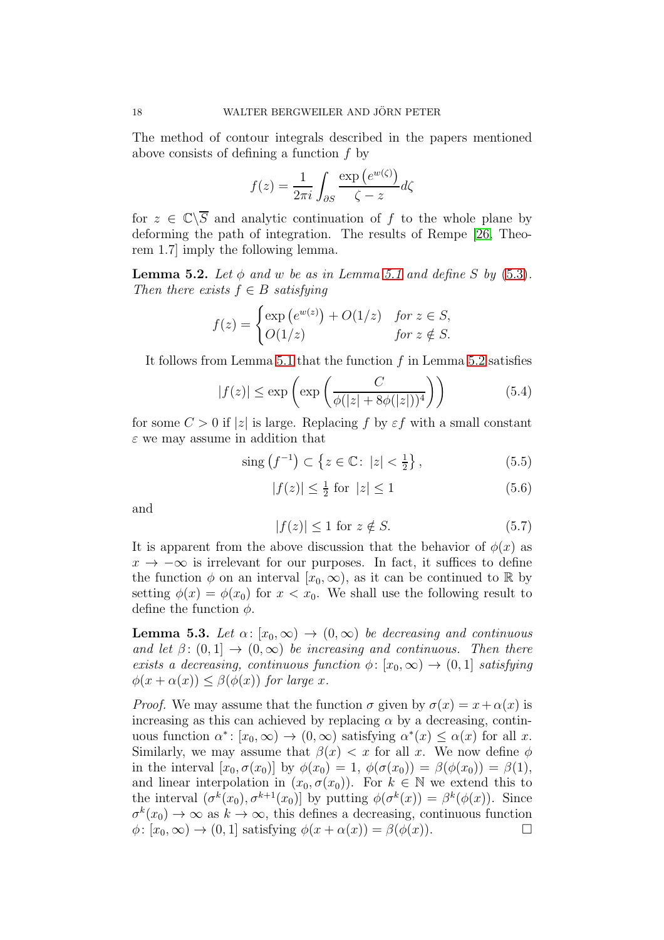The method of contour integrals described in the papers mentioned above consists of defining a function f by

$$
f(z) = \frac{1}{2\pi i} \int_{\partial S} \frac{\exp(e^{w(\zeta)})}{\zeta - z} d\zeta
$$

for  $z \in \mathbb{C}\backslash \overline{S}$  and analytic continuation of f to the whole plane by deforming the path of integration. The results of Rempe [\[26,](#page-23-19) Theorem 1.7] imply the following lemma.

<span id="page-17-0"></span>**Lemma 5.2.** Let  $\phi$  and w be as in Lemma [5.1](#page-16-2) and define S by [\(5.3\)](#page-16-3). Then there exists  $f \in B$  satisfying

$$
f(z) = \begin{cases} \exp(e^{w(z)}) + O(1/z) & \text{for } z \in S, \\ O(1/z) & \text{for } z \notin S. \end{cases}
$$

It follows from Lemma [5.1](#page-16-2) that the function f in Lemma [5.2](#page-17-0) satisfies

<span id="page-17-2"></span>
$$
|f(z)| \le \exp\left(\exp\left(\frac{C}{\phi(|z| + 8\phi(|z|))^4}\right)\right) \tag{5.4}
$$

for some  $C > 0$  if |z| is large. Replacing f by  $\varepsilon f$  with a small constant  $\varepsilon$  we may assume in addition that

> <span id="page-17-4"></span> $\text{sing}(f^{-1}) \subset \{ z \in \mathbb{C} : |z| < \frac{1}{2} \}$  $\frac{1}{2}$  $(5.5)$

<span id="page-17-5"></span>
$$
|f(z)| \le \frac{1}{2} \text{ for } |z| \le 1 \tag{5.6}
$$

and

<span id="page-17-3"></span>
$$
|f(z)| \le 1 \text{ for } z \notin S. \tag{5.7}
$$

It is apparent from the above discussion that the behavior of  $\phi(x)$  as  $x \to -\infty$  is irrelevant for our purposes. In fact, it suffices to define the function  $\phi$  on an interval  $[x_0, \infty)$ , as it can be continued to R by setting  $\phi(x) = \phi(x_0)$  for  $x < x_0$ . We shall use the following result to define the function  $\phi$ .

<span id="page-17-1"></span>**Lemma 5.3.** Let  $\alpha: [x_0, \infty) \to (0, \infty)$  be decreasing and continuous and let  $\beta$ :  $(0,1] \rightarrow (0,\infty)$  be increasing and continuous. Then there exists a decreasing, continuous function  $\phi: [x_0, \infty) \to (0, 1]$  satisfying  $\phi(x + \alpha(x)) \leq \beta(\phi(x))$  for large x.

*Proof.* We may assume that the function  $\sigma$  given by  $\sigma(x) = x + \alpha(x)$  is increasing as this can achieved by replacing  $\alpha$  by a decreasing, continuous function  $\alpha^* \colon [x_0, \infty) \to (0, \infty)$  satisfying  $\alpha^*(x) \leq \alpha(x)$  for all x. Similarly, we may assume that  $\beta(x) < x$  for all x. We now define  $\phi$ in the interval  $[x_0, \sigma(x_0)]$  by  $\phi(x_0) = 1$ ,  $\phi(\sigma(x_0)) = \beta(\phi(x_0)) = \beta(1)$ , and linear interpolation in  $(x_0, \sigma(x_0))$ . For  $k \in \mathbb{N}$  we extend this to the interval  $(\sigma^k(x_0), \sigma^{k+1}(x_0))$  by putting  $\phi(\sigma^k(x)) = \beta^k(\phi(x))$ . Since  $\sigma^k(x_0) \to \infty$  as  $k \to \infty$ , this defines a decreasing, continuous function  $\phi: [x_0, \infty) \to (0, 1]$  satisfying  $\phi(x + \alpha(x)) = \beta(\phi(x)).$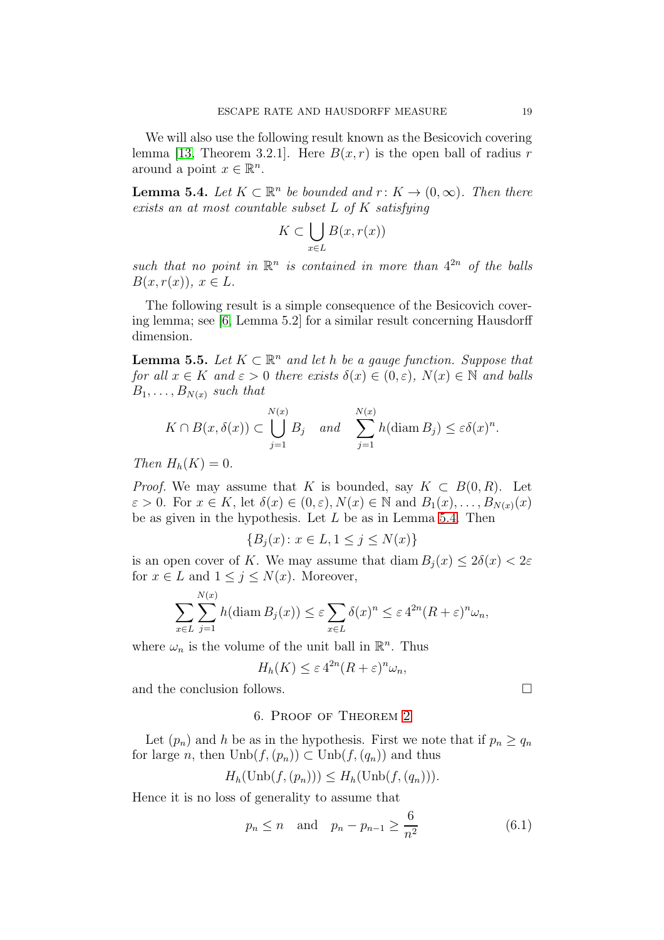We will also use the following result known as the Besicovich covering lemma [\[13,](#page-22-15) Theorem 3.2.1]. Here  $B(x, r)$  is the open ball of radius r around a point  $x \in \mathbb{R}^n$ .

<span id="page-18-1"></span>**Lemma 5.4.** Let  $K \subset \mathbb{R}^n$  be bounded and  $r: K \to (0, \infty)$ . Then there exists an at most countable subset L of K satisfying

$$
K \subset \bigcup_{x \in L} B(x, r(x))
$$

such that no point in  $\mathbb{R}^n$  is contained in more than  $4^{2n}$  of the balls  $B(x, r(x)), x \in L.$ 

The following result is a simple consequence of the Besicovich covering lemma; see [\[6,](#page-22-16) Lemma 5.2] for a similar result concerning Hausdorff dimension.

<span id="page-18-3"></span>**Lemma 5.5.** Let  $K \subset \mathbb{R}^n$  and let h be a gauge function. Suppose that for all  $x \in K$  and  $\varepsilon > 0$  there exists  $\delta(x) \in (0, \varepsilon)$ ,  $N(x) \in \mathbb{N}$  and balls  $B_1, \ldots, B_{N(x)}$  such that

$$
K \cap B(x, \delta(x)) \subset \bigcup_{j=1}^{N(x)} B_j \quad and \quad \sum_{j=1}^{N(x)} h(\text{diam } B_j) \leq \varepsilon \delta(x)^n.
$$

Then  $H_h(K) = 0$ .

*Proof.* We may assume that K is bounded, say  $K \subset B(0,R)$ . Let  $\varepsilon > 0$ . For  $x \in K$ , let  $\delta(x) \in (0, \varepsilon), N(x) \in \mathbb{N}$  and  $B_1(x), \ldots, B_{N(x)}(x)$ be as given in the hypothesis. Let  $L$  be as in Lemma [5.4.](#page-18-1) Then

$$
\{B_j(x) \colon x \in L, 1 \le j \le N(x)\}
$$

is an open cover of K. We may assume that diam  $B_i(x) \leq 2\delta(x) < 2\varepsilon$ for  $x \in L$  and  $1 \leq j \leq N(x)$ . Moreover,

$$
\sum_{x \in L} \sum_{j=1}^{N(x)} h(\text{diam } B_j(x)) \le \varepsilon \sum_{x \in L} \delta(x)^n \le \varepsilon 4^{2n} (R + \varepsilon)^n \omega_n,
$$

where  $\omega_n$  is the volume of the unit ball in  $\mathbb{R}^n$ . Thus

$$
H_h(K) \le \varepsilon \, 4^{2n} (R + \varepsilon)^n \omega_n,
$$

<span id="page-18-0"></span>and the conclusion follows.

## 6. Proof of Theorem [2](#page-2-1)

Let  $(p_n)$  and h be as in the hypothesis. First we note that if  $p_n \ge q_n$ for large n, then  $\text{Unb}(f,(p_n)) \subset \text{Unb}(f,(q_n))$  and thus

$$
H_h(\text{Unb}(f,(p_n))) \leq H_h(\text{Unb}(f,(q_n))).
$$

Hence it is no loss of generality to assume that

<span id="page-18-2"></span>
$$
p_n \le n
$$
 and  $p_n - p_{n-1} \ge \frac{6}{n^2}$  (6.1)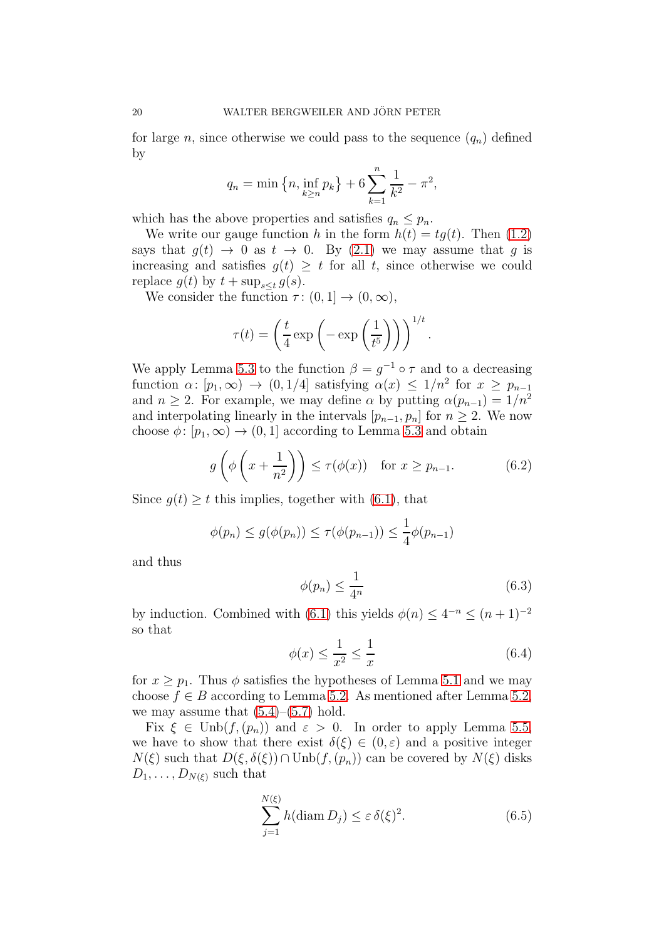for large n, since otherwise we could pass to the sequence  $(q_n)$  defined by

$$
q_n = \min\left\{n, \inf_{k \ge n} p_k\right\} + 6\sum_{k=1}^n \frac{1}{k^2} - \pi^2,
$$

which has the above properties and satisfies  $q_n \leq p_n$ .

We write our gauge function h in the form  $h(t) = tg(t)$ . Then [\(1.2\)](#page-2-0) says that  $g(t) \rightarrow 0$  as  $t \rightarrow 0$ . By [\(2.1\)](#page-3-1) we may assume that g is increasing and satisfies  $g(t) \geq t$  for all t, since otherwise we could replace  $g(t)$  by  $t + \sup_{s \leq t} g(s)$ .

We consider the function  $\tau$  :  $(0, 1] \rightarrow (0, \infty)$ ,

$$
\tau(t) = \left(\frac{t}{4} \exp\left(-\exp\left(\frac{1}{t^5}\right)\right)\right)^{1/t}.
$$

We apply Lemma [5.3](#page-17-1) to the function  $\beta = g^{-1} \circ \tau$  and to a decreasing function  $\alpha: [p_1, \infty) \to (0, 1/4]$  satisfying  $\alpha(x) \leq 1/n^2$  for  $x \geq p_{n-1}$ and  $n \geq 2$ . For example, we may define  $\alpha$  by putting  $\alpha(p_{n-1}) = 1/n^2$ and interpolating linearly in the intervals  $[p_{n-1}, p_n]$  for  $n \geq 2$ . We now choose  $\phi: [p_1, \infty) \to (0, 1]$  according to Lemma [5.3](#page-17-1) and obtain

<span id="page-19-0"></span>
$$
g\left(\phi\left(x+\frac{1}{n^2}\right)\right) \le \tau(\phi(x)) \quad \text{for } x \ge p_{n-1}.\tag{6.2}
$$

Since  $g(t) \geq t$  this implies, together with [\(6.1\)](#page-18-2), that

$$
\phi(p_n) \le g(\phi(p_n)) \le \tau(\phi(p_{n-1})) \le \frac{1}{4}\phi(p_{n-1})
$$

and thus

<span id="page-19-1"></span>
$$
\phi(p_n) \le \frac{1}{4^n} \tag{6.3}
$$

by induction. Combined with [\(6.1\)](#page-18-2) this yields  $\phi(n) \leq 4^{-n} \leq (n+1)^{-2}$ so that

$$
\phi(x) \le \frac{1}{x^2} \le \frac{1}{x} \tag{6.4}
$$

for  $x > p_1$ . Thus  $\phi$  satisfies the hypotheses of Lemma [5.1](#page-16-2) and we may choose  $f \in B$  according to Lemma [5.2.](#page-17-0) As mentioned after Lemma [5.2,](#page-17-0) we may assume that  $(5.4)$ – $(5.7)$  hold.

Fix  $\xi \in \text{Unb}(f,(p_n))$  and  $\varepsilon > 0$ . In order to apply Lemma [5.5,](#page-18-3) we have to show that there exist  $\delta(\xi) \in (0,\varepsilon)$  and a positive integer  $N(\xi)$  such that  $D(\xi, \delta(\xi)) \cap \text{Unb}(f,(p_n))$  can be covered by  $N(\xi)$  disks  $D_1, \ldots, D_{N(\xi)}$  such that

<span id="page-19-2"></span>
$$
\sum_{j=1}^{N(\xi)} h(\text{diam } D_j) \le \varepsilon \,\delta(\xi)^2. \tag{6.5}
$$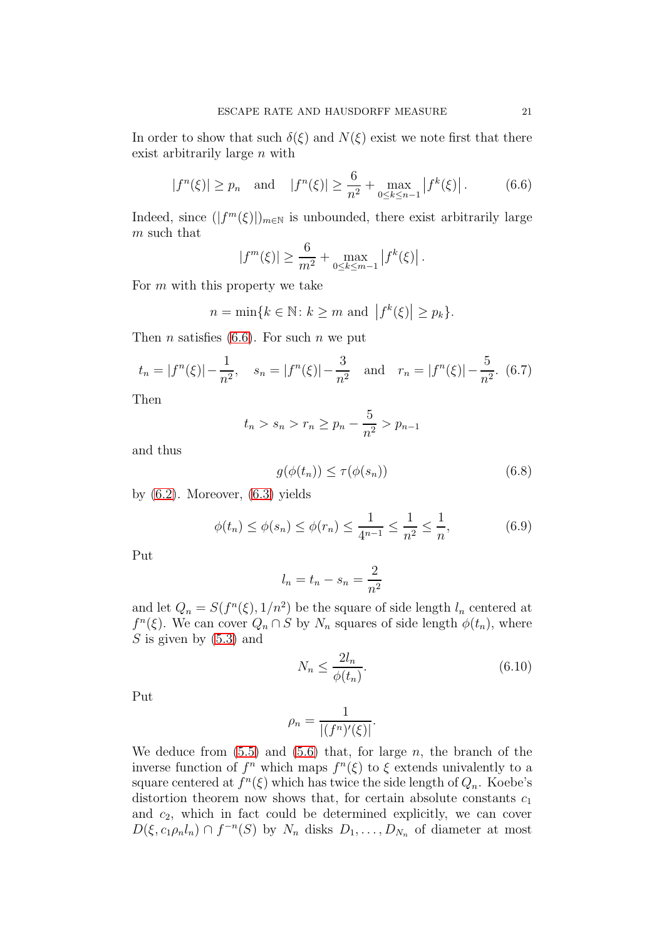In order to show that such  $\delta(\xi)$  and  $N(\xi)$  exist we note first that there exist arbitrarily large n with

<span id="page-20-0"></span>
$$
|f^{n}(\xi)| \ge p_n
$$
 and  $|f^{n}(\xi)| \ge \frac{6}{n^2} + \max_{0 \le k \le n-1} |f^{k}(\xi)|.$  (6.6)

Indeed, since  $(|f^m(\xi)|)_{m\in\mathbb{N}}$  is unbounded, there exist arbitrarily large  $\boldsymbol{m}$  such that

$$
|f^m(\xi)| \ge \frac{6}{m^2} + \max_{0 \le k \le m-1} |f^k(\xi)|.
$$

For  $m$  with this property we take

$$
n = \min\{k \in \mathbb{N} \colon k \ge m \text{ and } |f^k(\xi)| \ge p_k\}.
$$

Then *n* satisfies [\(6.6\)](#page-20-0). For such *n* we put

<span id="page-20-2"></span>
$$
t_n = |f^n(\xi)| - \frac{1}{n^2}
$$
,  $s_n = |f^n(\xi)| - \frac{3}{n^2}$  and  $r_n = |f^n(\xi)| - \frac{5}{n^2}$ . (6.7)

Then

$$
t_n > s_n > r_n \ge p_n - \frac{5}{n^2} > p_{n-1}
$$

and thus

$$
g(\phi(t_n)) \le \tau(\phi(s_n)) \tag{6.8}
$$

by  $(6.2)$ . Moreover,  $(6.3)$  yields

<span id="page-20-3"></span>
$$
\phi(t_n) \le \phi(s_n) \le \phi(r_n) \le \frac{1}{4^{n-1}} \le \frac{1}{n^2} \le \frac{1}{n},\tag{6.9}
$$

Put

$$
l_n = t_n - s_n = \frac{2}{n^2}
$$

and let  $Q_n = S(f^n(\xi), 1/n^2)$  be the square of side length  $l_n$  centered at  $f^{n}(\xi)$ . We can cover  $Q_n \cap S$  by  $N_n$  squares of side length  $\phi(t_n)$ , where S is given by  $(5.3)$  and

<span id="page-20-1"></span>
$$
N_n \le \frac{2l_n}{\phi(t_n)}.\tag{6.10}
$$

Put

$$
\rho_n = \frac{1}{|(f^n)'(\xi)|}.
$$

We deduce from  $(5.5)$  and  $(5.6)$  that, for large n, the branch of the inverse function of  $f^n$  which maps  $f^n(\xi)$  to  $\xi$  extends univalently to a square centered at  $f^{n}(\xi)$  which has twice the side length of  $Q_n$ . Koebe's distortion theorem now shows that, for certain absolute constants  $c_1$ and  $c_2$ , which in fact could be determined explicitly, we can cover  $D(\xi, c_1 \rho_n l_n) \cap f^{-n}(S)$  by  $N_n$  disks  $D_1, \ldots, D_{N_n}$  of diameter at most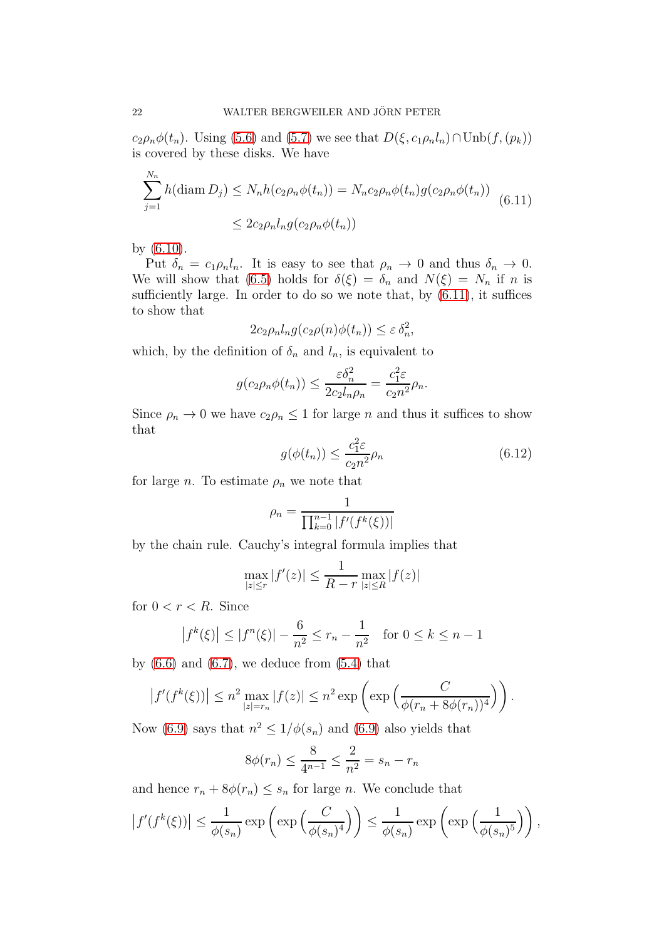$c_2\rho_n\phi(t_n)$ . Using [\(5.6\)](#page-17-5) and [\(5.7\)](#page-17-3) we see that  $D(\xi, c_1\rho_n l_n) \cap \text{Unb}(f,(p_k))$ is covered by these disks. We have

<span id="page-21-0"></span>
$$
\sum_{j=1}^{N_n} h(\text{diam } D_j) \le N_n h(c_2 \rho_n \phi(t_n)) = N_n c_2 \rho_n \phi(t_n) g(c_2 \rho_n \phi(t_n))
$$
\n
$$
\le 2c_2 \rho_n l_n g(c_2 \rho_n \phi(t_n))
$$
\n(6.11)

by [\(6.10\)](#page-20-1).

Put  $\delta_n = c_1 \rho_n l_n$ . It is easy to see that  $\rho_n \to 0$  and thus  $\delta_n \to 0$ . We will show that [\(6.5\)](#page-19-2) holds for  $\delta(\xi) = \delta_n$  and  $N(\xi) = N_n$  if n is sufficiently large. In order to do so we note that, by  $(6.11)$ , it suffices to show that

$$
2c_2 \rho_n l_n g(c_2 \rho(n)\phi(t_n)) \leq \varepsilon \delta_n^2,
$$

which, by the definition of  $\delta_n$  and  $l_n$ , is equivalent to

$$
g(c_2 \rho_n \phi(t_n)) \le \frac{\varepsilon \delta_n^2}{2c_2 l_n \rho_n} = \frac{c_1^2 \varepsilon}{c_2 n^2} \rho_n.
$$

Since  $\rho_n \to 0$  we have  $c_2 \rho_n \leq 1$  for large n and thus it suffices to show that

<span id="page-21-1"></span>
$$
g(\phi(t_n)) \le \frac{c_1^2 \varepsilon}{c_2 n^2} \rho_n \tag{6.12}
$$

for large *n*. To estimate  $\rho_n$  we note that

$$
\rho_n = \frac{1}{\prod_{k=0}^{n-1} |f'(f^k(\xi))|}
$$

by the chain rule. Cauchy's integral formula implies that

$$
\max_{|z| \le r} |f'(z)| \le \frac{1}{R - r} \max_{|z| \le R} |f(z)|
$$

for  $0 < r < R$ . Since

$$
|f^k(\xi)| \le |f^n(\xi)| - \frac{6}{n^2} \le r_n - \frac{1}{n^2}
$$
 for  $0 \le k \le n - 1$ 

by  $(6.6)$  and  $(6.7)$ , we deduce from  $(5.4)$  that

$$
\left|f'(f^k(\xi))\right| \leq n^2 \max_{|z|=r_n} |f(z)| \leq n^2 \exp\left(\exp\left(\frac{C}{\phi(r_n + 8\phi(r_n))^4}\right)\right).
$$

Now [\(6.9\)](#page-20-3) says that  $n^2 \leq 1/\phi(s_n)$  and (6.9) also yields that

$$
8\phi(r_n) \le \frac{8}{4^{n-1}} \le \frac{2}{n^2} = s_n - r_n
$$

and hence  $r_n + 8\phi(r_n) \leq s_n$  for large *n*. We conclude that

$$
\left|f'(f^k(\xi))\right| \le \frac{1}{\phi(s_n)} \exp\left(\exp\left(\frac{C}{\phi(s_n)^4}\right)\right) \le \frac{1}{\phi(s_n)} \exp\left(\exp\left(\frac{1}{\phi(s_n)^5}\right)\right),
$$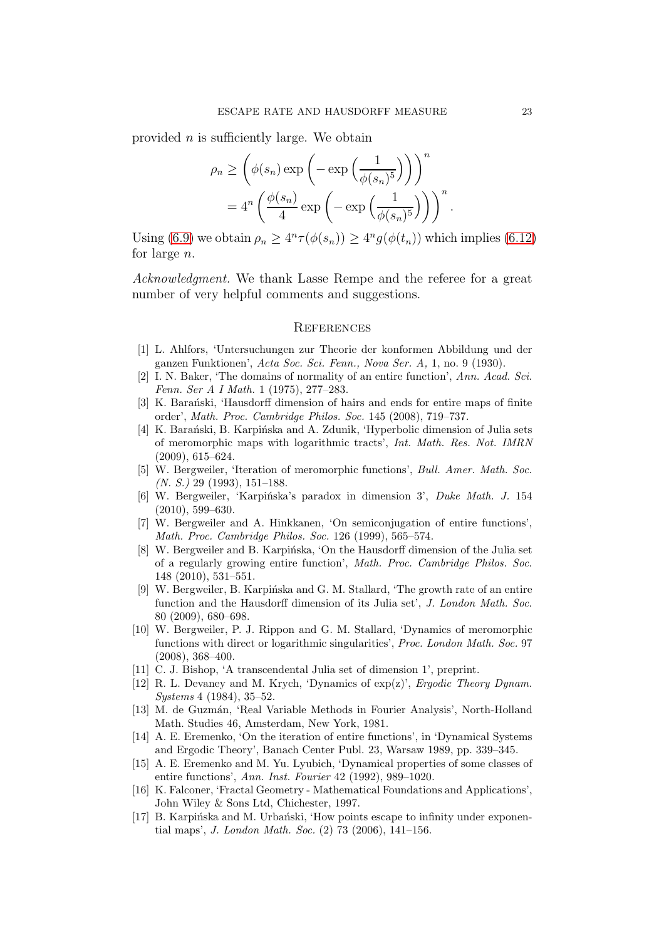provided  $n$  is sufficiently large. We obtain

$$
\rho_n \ge \left(\phi(s_n) \exp\left(-\exp\left(\frac{1}{\phi(s_n)^5}\right)\right)\right)^n
$$
  
=  $4^n \left(\frac{\phi(s_n)}{4} \exp\left(-\exp\left(\frac{1}{\phi(s_n)^5}\right)\right)\right)^n$ .

Using [\(6.9\)](#page-20-3) we obtain  $\rho_n \geq 4^n \tau(\phi(s_n)) \geq 4^n g(\phi(t_n))$  which implies [\(6.12\)](#page-21-1) for large n.

Acknowledgment. We thank Lasse Rempe and the referee for a great number of very helpful comments and suggestions.

#### **REFERENCES**

- <span id="page-22-14"></span>[1] L. Ahlfors, 'Untersuchungen zur Theorie der konformen Abbildung und der ganzen Funktionen', Acta Soc. Sci. Fenn., Nova Ser. A, 1, no. 9 (1930).
- <span id="page-22-7"></span>[2] I. N. Baker, 'The domains of normality of an entire function', Ann. Acad. Sci. Fenn. Ser A I Math. 1 (1975), 277–283.
- <span id="page-22-2"></span>[3] K. Barański, 'Hausdorff dimension of hairs and ends for entire maps of finite order', Math. Proc. Cambridge Philos. Soc. 145 (2008), 719–737.
- <span id="page-22-3"></span>[4] K. Barański, B. Karpińska and A. Zdunik, 'Hyperbolic dimension of Julia sets of meromorphic maps with logarithmic tracts', Int. Math. Res. Not. IMRN (2009), 615–624.
- <span id="page-22-1"></span>[5] W. Bergweiler, 'Iteration of meromorphic functions', Bull. Amer. Math. Soc. (N. S.) 29 (1993), 151–188.
- <span id="page-22-16"></span>[6] W. Bergweiler, 'Karpińska's paradox in dimension 3', Duke Math. J. 154 (2010), 599–630.
- <span id="page-22-10"></span>[7] W. Bergweiler and A. Hinkkanen, 'On semiconjugation of entire functions', Math. Proc. Cambridge Philos. Soc. 126 (1999), 565–574.
- <span id="page-22-5"></span>[8] W. Bergweiler and B. Karpińska, 'On the Hausdorff dimension of the Julia set of a regularly growing entire function', Math. Proc. Cambridge Philos. Soc. 148 (2010), 531–551.
- <span id="page-22-4"></span>[9] W. Bergweiler, B. Karpińska and G. M. Stallard, 'The growth rate of an entire function and the Hausdorff dimension of its Julia set', J. London Math. Soc. 80 (2009), 680–698.
- <span id="page-22-9"></span>[10] W. Bergweiler, P. J. Rippon and G. M. Stallard, 'Dynamics of meromorphic functions with direct or logarithmic singularities', Proc. London Math. Soc. 97 (2008), 368–400.
- <span id="page-22-11"></span><span id="page-22-8"></span>[11] C. J. Bishop, 'A transcendental Julia set of dimension 1', preprint.
- [12] R. L. Devaney and M. Krych, 'Dynamics of exp(z)', Ergodic Theory Dynam. Systems 4 (1984), 35–52.
- <span id="page-22-15"></span>[13] M. de Guzmán, 'Real Variable Methods in Fourier Analysis', North-Holland Math. Studies 46, Amsterdam, New York, 1981.
- <span id="page-22-0"></span>[14] A. E. Eremenko, 'On the iteration of entire functions', in 'Dynamical Systems and Ergodic Theory', Banach Center Publ. 23, Warsaw 1989, pp. 339–345.
- <span id="page-22-6"></span>[15] A. E. Eremenko and M. Yu. Lyubich, 'Dynamical properties of some classes of entire functions', Ann. Inst. Fourier 42 (1992), 989–1020.
- <span id="page-22-13"></span>[16] K. Falconer, 'Fractal Geometry - Mathematical Foundations and Applications', John Wiley & Sons Ltd, Chichester, 1997.
- <span id="page-22-12"></span>[17] B. Karpińska and M. Urbański, 'How points escape to infinity under exponential maps', J. London Math. Soc. (2) 73 (2006), 141–156.